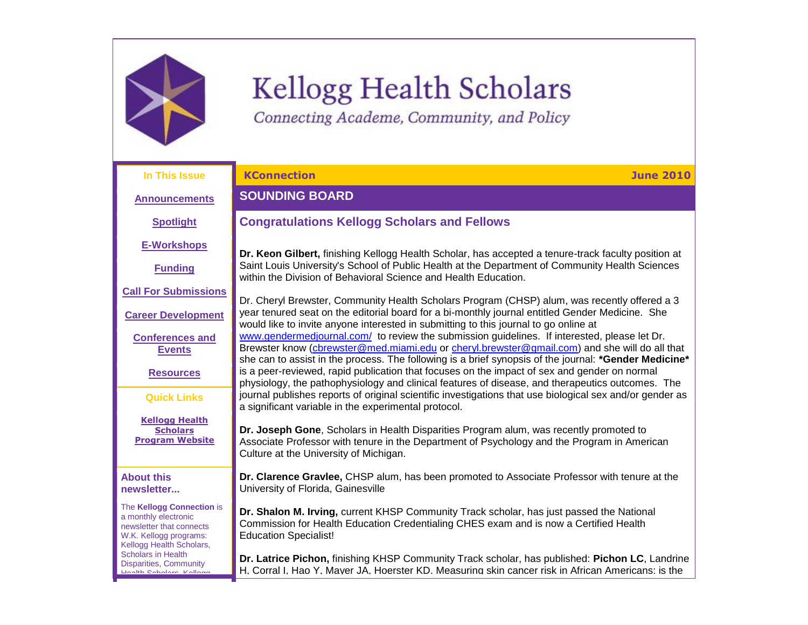

# Kellogg Health Scholars

<span id="page-0-0"></span>Connecting Academe, Community, and Policy

| In This Issue                                                                                                                       | <b>KConnection</b><br><b>June 2010</b>                                                                                                                                                                                                                               |
|-------------------------------------------------------------------------------------------------------------------------------------|----------------------------------------------------------------------------------------------------------------------------------------------------------------------------------------------------------------------------------------------------------------------|
| <b>Announcements</b>                                                                                                                | <b>SOUNDING BOARD</b>                                                                                                                                                                                                                                                |
| <b>Spotlight</b>                                                                                                                    | <b>Congratulations Kellogg Scholars and Fellows</b>                                                                                                                                                                                                                  |
| <b>E-Workshops</b>                                                                                                                  | Dr. Keon Gilbert, finishing Kellogg Health Scholar, has accepted a tenure-track faculty position at                                                                                                                                                                  |
| <b>Funding</b>                                                                                                                      | Saint Louis University's School of Public Health at the Department of Community Health Sciences<br>within the Division of Behavioral Science and Health Education.                                                                                                   |
| <b>Call For Submissions</b>                                                                                                         | Dr. Cheryl Brewster, Community Health Scholars Program (CHSP) alum, was recently offered a 3                                                                                                                                                                         |
| <b>Career Development</b>                                                                                                           | year tenured seat on the editorial board for a bi-monthly journal entitled Gender Medicine. She<br>would like to invite anyone interested in submitting to this journal to go online at                                                                              |
| <b>Conferences and</b><br><b>Events</b>                                                                                             | www.gendermedjournal.com/ to review the submission guidelines. If interested, please let Dr.<br>Brewster know (cbrewster@med.miami.edu or cheryl.brewster@gmail.com) and she will do all that                                                                        |
| <b>Resources</b>                                                                                                                    | she can to assist in the process. The following is a brief synopsis of the journal: *Gender Medicine*<br>is a peer-reviewed, rapid publication that focuses on the impact of sex and gender on normal                                                                |
| <b>Quick Links</b>                                                                                                                  | physiology, the pathophysiology and clinical features of disease, and therapeutics outcomes. The<br>journal publishes reports of original scientific investigations that use biological sex and/or gender as<br>a significant variable in the experimental protocol. |
| <b>Kellogg Health</b><br><b>Scholars</b><br><b>Program Website</b>                                                                  | Dr. Joseph Gone, Scholars in Health Disparities Program alum, was recently promoted to<br>Associate Professor with tenure in the Department of Psychology and the Program in American<br>Culture at the University of Michigan.                                      |
| <b>About this</b><br>newsletter                                                                                                     | Dr. Clarence Gravlee, CHSP alum, has been promoted to Associate Professor with tenure at the<br>University of Florida, Gainesville                                                                                                                                   |
| The Kellogg Connection is<br>a monthly electronic<br>newsletter that connects<br>W.K. Kellogg programs:<br>Kellogg Health Scholars, | Dr. Shalon M. Irving, current KHSP Community Track scholar, has just passed the National<br>Commission for Health Education Credentialing CHES exam and is now a Certified Health<br><b>Education Specialist!</b>                                                    |
| <b>Scholars in Health</b><br><b>Disparities, Community</b><br>Hoolth Coholoro Kollong                                               | Dr. Latrice Pichon, finishing KHSP Community Track scholar, has published: Pichon LC, Landrine<br>H. Corral I. Hao Y. Maver JA. Hoerster KD. Measuring skin cancer risk in African Americans: is the                                                                 |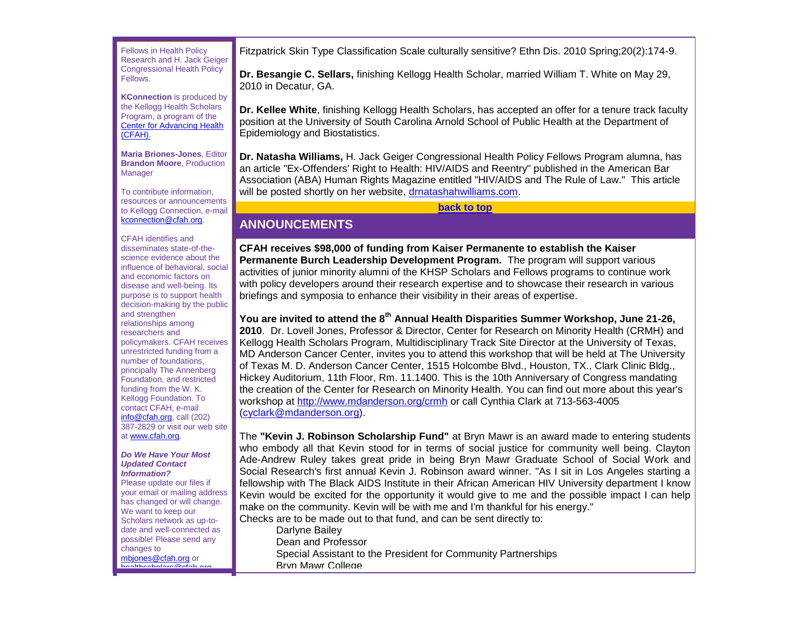Fellows in Health Policy Research and H. Jack Geiger Congressional Health Policy Fellows.

**KConnection** is produced by the Kellogg Health Scholars Program, a program of the [Center for Advancing Health](http://r20.rs6.net/tn.jsp?et=1103488072567&s=0&e=001ZbRH4lRBQsHkRXlMbhMtfHu7egiIyKAAJ7ixXSilcuYnfqDHWXv12tCFvQql9ipw4L3PEb8VTws2y2nezJLgLC2saypOBH9ZjhCxtprc_bg=)  [\(CFAH\).](http://r20.rs6.net/tn.jsp?et=1103488072567&s=0&e=001ZbRH4lRBQsHkRXlMbhMtfHu7egiIyKAAJ7ixXSilcuYnfqDHWXv12tCFvQql9ipw4L3PEb8VTws2y2nezJLgLC2saypOBH9ZjhCxtprc_bg=)

**Maria Briones-Jones**, Editor **Brandon Moore**, Production **Manager** 

To contribute information, resources or announcements to Kellogg Connection, e-mail [kconnection@cfah.org.](mailto:kconnection@cfah.org)

CFAH identifies and disseminates state-of-thescience evidence about the influence of behavioral, social and economic factors on disease and well-being. Its purpose is to support health decision-making by the public and strengthen relationships among researchers and policymakers. CFAH receives unrestricted funding from a number of foundations, principally The Annenberg Foundation, and restricted funding from the W. K. Kellogg Foundation. To contact CFAH, e-mail [info@cfah.org,](mailto:info@cfah.org) call (202) 387-2829 or visit our web site at [www.cfah.org.](http://r20.rs6.net/tn.jsp?et=1103488072567&s=0&e=001ZbRH4lRBQsHkRXlMbhMtfHu7egiIyKAAJ7ixXSilcuYnfqDHWXv12tCFvQql9ipw4L3PEb8VTws2y2nezJLgLC2saypOBH9ZjhCxtprc_bg=)

#### *Do We Have Your Most Updated Contact Information?*

Please update our files if your email or mailing address has changed or will change. We want to keep our Scholars network as up-todate and well-connected as possible! Please send any changes to mbiones@cfah.org or [healthscholars@cfah.org.](mailto:healthscholars@cfah.org)

Fitzpatrick Skin Type Classification Scale culturally sensitive? Ethn Dis. 2010 Spring;20(2):174-9.

**Dr. Besangie C. Sellars,** finishing Kellogg Health Scholar, married William T. White on May 29, 2010 in Decatur, GA.

**Dr. Kellee White**, finishing Kellogg Health Scholars, has accepted an offer for a tenure track faculty position at the University of South Carolina Arnold School of Public Health at the Department of Epidemiology and Biostatistics.

**Dr. Natasha Williams,** H. Jack Geiger Congressional Health Policy Fellows Program alumna, has an article "Ex-Offenders' Right to Health: HIV/AIDS and Reentry" published in the American Bar Association (ABA) Human Rights Magazine entitled "HIV/AIDS and The Rule of Law." This article will be posted shortly on her website, [drnatashahwilliams.com.](http://r20.rs6.net/tn.jsp?et=1103488072567&s=0&e=001ZbRH4lRBQsHkRXlMbhMtfHu7egiIyKAAJ7ixXSilcuYnfqDHWXv12tCFvQql9ipwCfg2gN0hiUQyrhjbybGenVJGW2r_XQbNMP4dbhhAICXP-rgvFLt3bKl48uSateEd)

**[back to top](#page-0-0)**

# <span id="page-1-0"></span>**ANNOUNCEMENTS**

**CFAH receives \$98,000 of funding from Kaiser Permanente to establish the Kaiser Permanente Burch Leadership Development Program.** The program will support various activities of junior minority alumni of the KHSP Scholars and Fellows programs to continue work with policy developers around their research expertise and to showcase their research in various briefings and symposia to enhance their visibility in their areas of expertise.

**You are invited to attend the 8th Annual Health Disparities Summer Workshop, June 21-26, 2010**. Dr. Lovell Jones, Professor & Director, Center for Research on Minority Health (CRMH) and Kellogg Health Scholars Program, Multidisciplinary Track Site Director at the University of Texas, MD Anderson Cancer Center, invites you to attend this workshop that will be held at The University of Texas M. D. Anderson Cancer Center, 1515 Holcombe Blvd., Houston, TX., Clark Clinic Bldg., Hickey Auditorium, 11th Floor, Rm. 11.1400. This is the 10th Anniversary of Congress mandating the creation of the Center for Research on Minority Health. You can find out more about this year's workshop at [http://www.mdanderson.org/crmh](http://r20.rs6.net/tn.jsp?et=1103488072567&s=0&e=001ZbRH4lRBQsHkRXlMbhMtfHu7egiIyKAAJ7ixXSilcuYnfqDHWXv12tCFvQql9ipw4L3PEb8VTwtYolL-6uIEb3rHGxGONFsXhj5oNOa0ad24aSZJypglxMdZ6ezLpQxw) or call Cynthia Clark at 713-563-4005 [\(cyclark@mdanderson.org\)](mailto:cyclark@mdanderson.org).

The **"Kevin J. Robinson Scholarship Fund"** at Bryn Mawr is an award made to entering students who embody all that Kevin stood for in terms of social justice for community well being. Clayton Ade-Andrew Ruley takes great pride in being Bryn Mawr Graduate School of Social Work and Social Research's first annual Kevin J. Robinson award winner. "As I sit in Los Angeles starting a fellowship with The Black AIDS Institute in their African American HIV University department I know Kevin would be excited for the opportunity it would give to me and the possible impact I can help make on the community. Kevin will be with me and I'm thankful for his energy." Checks are to be made out to that fund, and can be sent directly to:

Darlyne Bailey Dean and Professor Special Assistant to the President for Community Partnerships Bryn Mawr College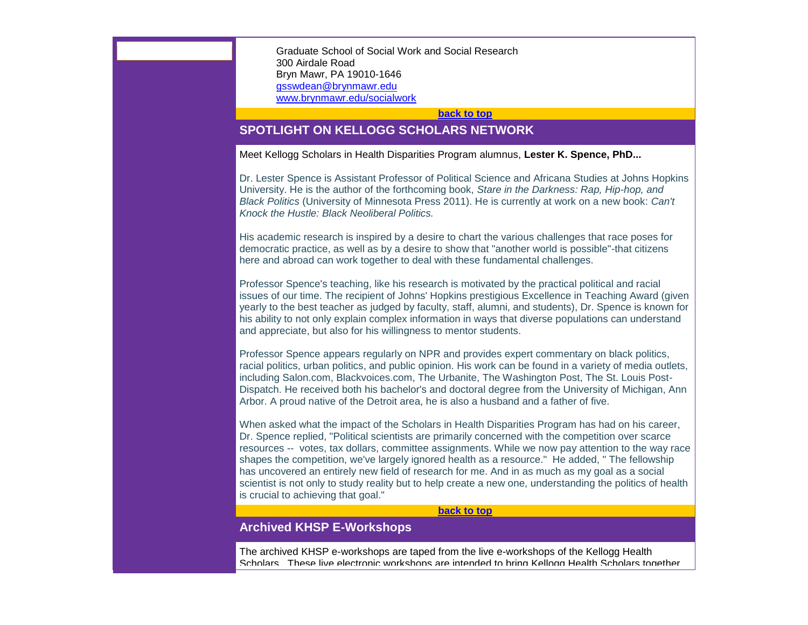Graduate School of Social Work and Social Research 300 Airdale Road Bryn Mawr, PA 19010-1646 [gsswdean@brynmawr.edu](mailto:gsswdean@brynmawr.edu) [www.brynmawr.edu/socialwork](http://www.brynmawr.edu/socialwork)

**[back to top](#page-0-0)**

# <span id="page-2-0"></span>**SPOTLIGHT ON KELLOGG SCHOLARS NETWORK**

Meet Kellogg Scholars in Health Disparities Program alumnus, **Lester K. Spence, PhD...**

Dr. Lester Spence is Assistant Professor of Political Science and Africana Studies at Johns Hopkins University. He is the author of the forthcoming book, *Stare in the Darkness: Rap, Hip-hop, and Black Politics* (University of Minnesota Press 2011). He is currently at work on a new book: *Can't Knock the Hustle: Black Neoliberal Politics.* 

His academic research is inspired by a desire to chart the various challenges that race poses for democratic practice, as well as by a desire to show that "another world is possible"-that citizens here and abroad can work together to deal with these fundamental challenges.

Professor Spence's teaching, like his research is motivated by the practical political and racial issues of our time. The recipient of Johns' Hopkins prestigious Excellence in Teaching Award (given yearly to the best teacher as judged by faculty, staff, alumni, and students), Dr. Spence is known for his ability to not only explain complex information in ways that diverse populations can understand and appreciate, but also for his willingness to mentor students.

Professor Spence appears regularly on NPR and provides expert commentary on black politics, racial politics, urban politics, and public opinion. His work can be found in a variety of media outlets, including Salon.com, Blackvoices.com, The Urbanite, The Washington Post, The St. Louis Post-Dispatch. He received both his bachelor's and doctoral degree from the University of Michigan, Ann Arbor. A proud native of the Detroit area, he is also a husband and a father of five.

When asked what the impact of the Scholars in Health Disparities Program has had on his career, Dr. Spence replied, "Political scientists are primarily concerned with the competition over scarce resources -- votes, tax dollars, committee assignments. While we now pay attention to the way race shapes the competition, we've largely ignored health as a resource." He added, " The fellowship has uncovered an entirely new field of research for me. And in as much as my goal as a social scientist is not only to study reality but to help create a new one, understanding the politics of health is crucial to achieving that goal."

#### **[back to top](#page-0-0)**

# <span id="page-2-1"></span>**Archived KHSP E-Workshops**

The archived KHSP e-workshops are taped from the live e-workshops of the Kellogg Health Scholars. These live electronic workshops are intended to bring Kellogg Health Scholars together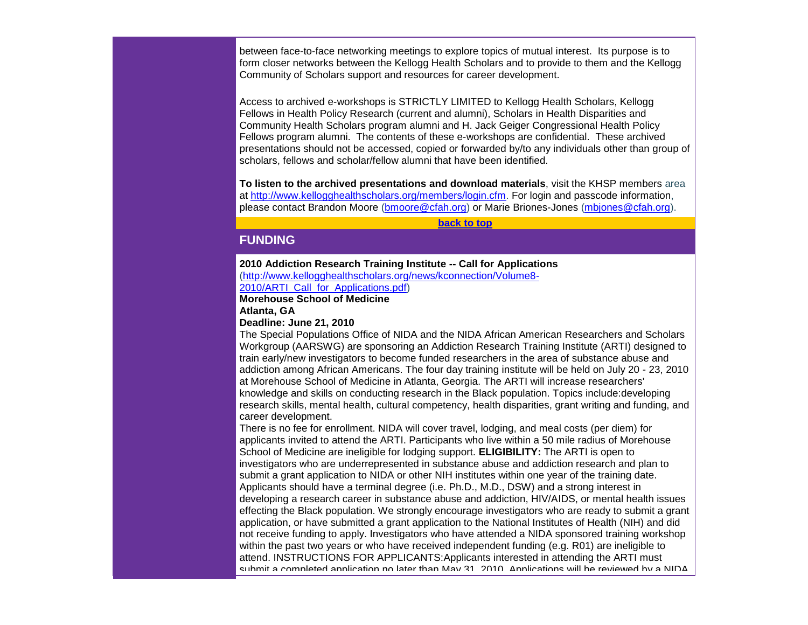between face-to-face networking meetings to explore topics of mutual interest. Its purpose is to form closer networks between the Kellogg Health Scholars and to provide to them and the Kellogg Community of Scholars support and resources for career development.

Access to archived e-workshops is STRICTLY LIMITED to Kellogg Health Scholars, Kellogg Fellows in Health Policy Research (current and alumni), Scholars in Health Disparities and Community Health Scholars program alumni and H. Jack Geiger Congressional Health Policy Fellows program alumni. The contents of these e-workshops are confidential. These archived presentations should not be accessed, copied or forwarded by/to any individuals other than group of scholars, fellows and scholar/fellow alumni that have been identified.

**To listen to the archived presentations and download materials**, visit the KHSP members area at [http://www.kellogghealthscholars.org/members/login.cfm.](http://r20.rs6.net/tn.jsp?et=1103488072567&s=0&e=001ZbRH4lRBQsHkRXlMbhMtfHu7egiIyKAAJ7ixXSilcuYnfqDHWXv12tCFvQql9ipw4L3PEb8VTws4uZ6X-5Trl1orxWSfbBnYpxTQVEJs3-dksy5z0ZWEu55qJzWQFR2EoZ6_9JMEMDn0st9bmsr1xCDmzwgpqHws) For login and passcode information, please contact Brandon Moore [\(bmoore@cfah.org\)](mailto:bmoore@cfah.org) or Marie Briones-Jones [\(mbjones@cfah.org\)](mailto:mbjones@cfah.org).

**[back to top](#page-0-0)**

# <span id="page-3-0"></span>**FUNDING**

#### **2010 Addiction Research Training Institute -- Call for Applications**  [\(http://www.kellogghealthscholars.org/news/kconnection/Volume8-](http://r20.rs6.net/tn.jsp?et=1103488072567&s=0&e=001ZbRH4lRBQsHkRXlMbhMtfHu7egiIyKAAJ7ixXSilcuYnfqDHWXv12tCFvQql9ipw4L3PEb8VTws4uZ6X-5Trl1orxWSfbBnYpxTQVEJs3-eP6uXfwVEWqUopX1inZ1tEH2hs-KgvUCNNKJdTraHAyCSKRnIT8xNREvnSwYrd4ct7rxxAPlt5fmbayA9oOz9LMZD5YGM-4LsbHTYGRHqf7TDLL9gbI_pD)

[2010/ARTI\\_Call\\_for\\_Applications.pdf\)](http://r20.rs6.net/tn.jsp?et=1103488072567&s=0&e=001ZbRH4lRBQsHkRXlMbhMtfHu7egiIyKAAJ7ixXSilcuYnfqDHWXv12tCFvQql9ipw4L3PEb8VTws4uZ6X-5Trl1orxWSfbBnYpxTQVEJs3-eP6uXfwVEWqUopX1inZ1tEH2hs-KgvUCNNKJdTraHAyCSKRnIT8xNREvnSwYrd4ct7rxxAPlt5fmbayA9oOz9LMZD5YGM-4LsbHTYGRHqf7TDLL9gbI_pD)

**Morehouse School of Medicine Atlanta, GA**

### **Deadline: June 21, 2010**

The Special Populations Office of NIDA and the NIDA African American Researchers and Scholars Workgroup (AARSWG) are sponsoring an Addiction Research Training Institute (ARTI) designed to train early/new investigators to become funded researchers in the area of substance abuse and addiction among African Americans. The four day training institute will be held on July 20 - 23, 2010 at Morehouse School of Medicine in Atlanta, Georgia. The ARTI will increase researchers' knowledge and skills on conducting research in the Black population. Topics include:developing research skills, mental health, cultural competency, health disparities, grant writing and funding, and career development.

There is no fee for enrollment. NIDA will cover travel, lodging, and meal costs (per diem) for applicants invited to attend the ARTI. Participants who live within a 50 mile radius of Morehouse School of Medicine are ineligible for lodging support. **ELIGIBILITY:** The ARTI is open to investigators who are underrepresented in substance abuse and addiction research and plan to submit a grant application to NIDA or other NIH institutes within one year of the training date. Applicants should have a terminal degree (i.e. Ph.D., M.D., DSW) and a strong interest in developing a research career in substance abuse and addiction, HIV/AIDS, or mental health issues effecting the Black population. We strongly encourage investigators who are ready to submit a grant application, or have submitted a grant application to the National Institutes of Health (NIH) and did not receive funding to apply. Investigators who have attended a NIDA sponsored training workshop within the past two years or who have received independent funding (e.g. R01) are ineligible to attend. INSTRUCTIONS FOR APPLICANTS:Applicants interested in attending the ARTI must submit a completed application no later than May 31, 2010. Applications will be reviewed by a NIDA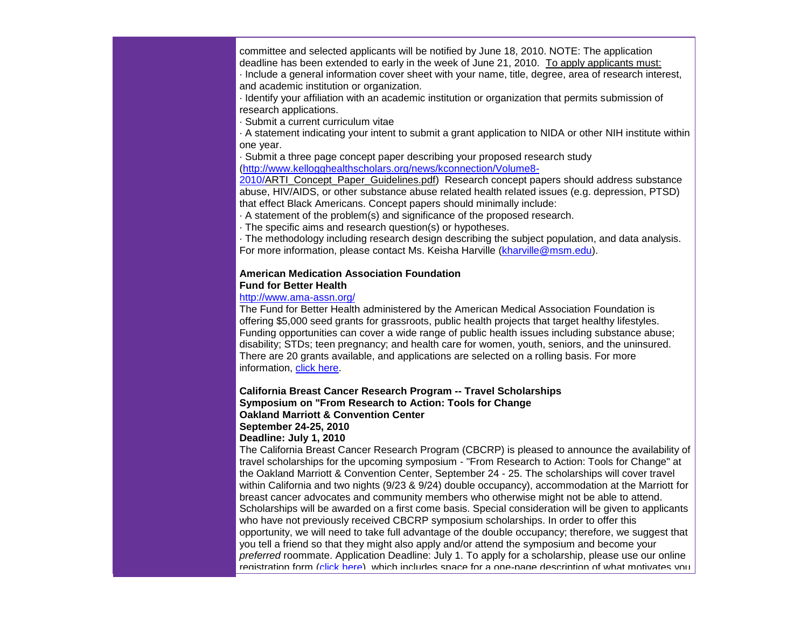committee and selected applicants will be notified by June 18, 2010. NOTE: The application deadline has been extended to early in the week of June 21, 2010. To apply applicants must: · Include a general information cover sheet with your name, title, degree, area of research interest,

and academic institution or organization.

· Identify your affiliation with an academic institution or organization that permits submission of research applications.

· Submit a current curriculum vitae

· A statement indicating your intent to submit a grant application to NIDA or other NIH institute within one year.

· Submit a three page concept paper describing your proposed research study [\(http://www.kellogghealthscholars.org/news/kconnection/Volume8-](http://r20.rs6.net/tn.jsp?et=1103488072567&s=0&e=001ZbRH4lRBQsHkRXlMbhMtfHu7egiIyKAAJ7ixXSilcuYnfqDHWXv12tCFvQql9ipw4L3PEb8VTws4uZ6X-5Trl1orxWSfbBnYpxTQVEJs3-eP6uXfwVEWqUopX1inZ1tEH2hs-KgvUCNNKJdTraHAyCSKRnIT8xNRHoFXICyCM5kVV9wg3Q0Z0xBuNXkThG2VsU_wd2C-dpHmW6hkOfnzCbiyMYYqPk4u)

[2010/ARTI\\_Concept\\_Paper\\_Guidelines.pdf\)](http://r20.rs6.net/tn.jsp?et=1103488072567&s=0&e=001ZbRH4lRBQsHkRXlMbhMtfHu7egiIyKAAJ7ixXSilcuYnfqDHWXv12tCFvQql9ipw4L3PEb8VTws4uZ6X-5Trl1orxWSfbBnYpxTQVEJs3-eP6uXfwVEWqUopX1inZ1tEH2hs-KgvUCNNKJdTraHAyCSKRnIT8xNRHoFXICyCM5kVV9wg3Q0Z0xBuNXkThG2VsU_wd2C-dpHmW6hkOfnzCbiyMYYqPk4u) Research concept papers should address substance abuse, HIV/AIDS, or other substance abuse related health related issues (e.g. depression, PTSD) that effect Black Americans. Concept papers should minimally include:

· A statement of the problem(s) and significance of the proposed research.

· The specific aims and research question(s) or hypotheses.

· The methodology including research design describing the subject population, and data analysis. For more information, please contact Ms. Keisha Harville [\(kharville@msm.edu\)](mailto:kharville@msm.edu).

## **American Medication Association Foundation**

#### **Fund for Better Health**

## [http://www.ama-assn.org/](http://r20.rs6.net/tn.jsp?et=1103488072567&s=0&e=001ZbRH4lRBQsHkRXlMbhMtfHu7egiIyKAAJ7ixXSilcuYnfqDHWXv12tCFvQql9ipw4L3PEb8VTwvctzxSc7aYLTFbXNkwUKQhGI_D46OfUVio3j_rlwEEUg==)

The Fund for Better Health administered by the American Medical Association Foundation is offering \$5,000 seed grants for grassroots, public health projects that target healthy lifestyles. Funding opportunities can cover a wide range of public health issues including substance abuse; disability; STDs; teen pregnancy; and health care for women, youth, seniors, and the uninsured. There are 20 grants available, and applications are selected on a rolling basis. For more information, [click here.](http://r20.rs6.net/tn.jsp?et=1103488072567&s=0&e=001ZbRH4lRBQsHkRXlMbhMtfHu7egiIyKAAJ7ixXSilcuYnfqDHWXv12tCFvQql9ipw4L3PEb8VTwvctzxSc7aYLe_nsb2Ow6B3R5r0y67_XOJa9d_KTDuXtJh-ptzmWrdFmery8K-O3elmKkCdUWfaailIL_BKLALR1FPE-m-nlLjwpjJhIl77g_JvUqp6vQ2ZyTGEFiFHItYSJKlfhNy94Y6rb8I09WYyR1FrZPYLIkeMm5vM2errxg==)

## **California Breast Cancer Research Program -- Travel Scholarships Symposium on "From Research to Action: Tools for Change**

**Oakland Marriott & Convention Center**

# **September 24-25, 2010**

## **Deadline: July 1, 2010**

The California Breast Cancer Research Program (CBCRP) is pleased to announce the availability of travel scholarships for the upcoming symposium - "From Research to Action: Tools for Change" at the Oakland Marriott & Convention Center, September 24 - 25. The scholarships will cover travel within California and two nights (9/23 & 9/24) double occupancy), accommodation at the Marriott for breast cancer advocates and community members who otherwise might not be able to attend. Scholarships will be awarded on a first come basis. Special consideration will be given to applicants who have not previously received CBCRP symposium scholarships. In order to offer this opportunity, we will need to take full advantage of the double occupancy; therefore, we suggest that you tell a friend so that they might also apply and/or attend the symposium and become your *preferred* roommate. Application Deadline: July 1. To apply for a scholarship, please use our online registration form [\(click here\)](http://r20.rs6.net/tn.jsp?et=1103488072567&s=0&e=001ZbRH4lRBQsHkRXlMbhMtfHu7egiIyKAAJ7ixXSilcuYnfqDHWXv12tCFvQql9ipw4L3PEb8VTwvr3FhmOK12OqHUzqInObR2yuSPbAZ8KQDJLPPRYS2pArbCniLmBOsr4sk0QW1G0ox3n4BNviIbYvWe3SPYpm4e), which includes space for a one-page description of what motivates you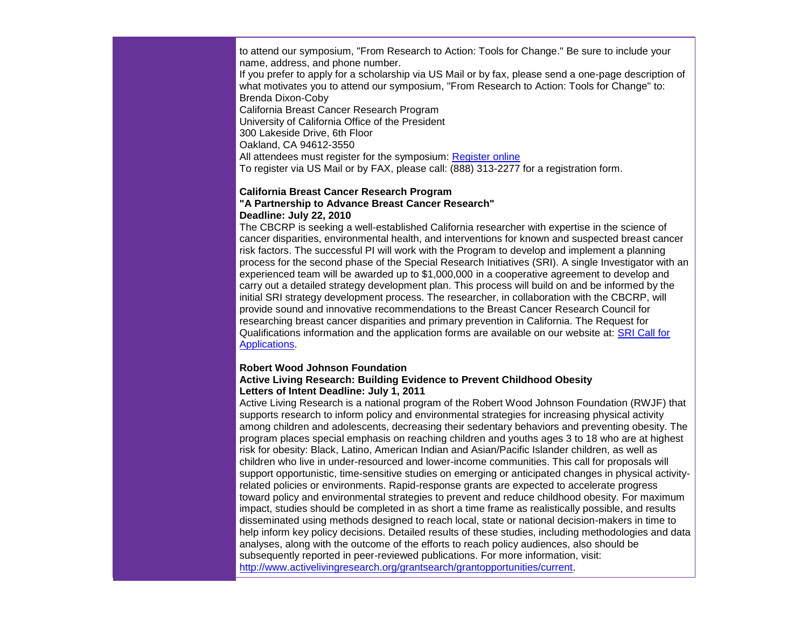to attend our symposium, "From Research to Action: Tools for Change." Be sure to include your name, address, and phone number. If you prefer to apply for a scholarship via US Mail or by fax, please send a one-page description of what motivates you to attend our symposium, "From Research to Action: Tools for Change" to: Brenda Dixon-Coby California Breast Cancer Research Program University of California Office of the President 300 Lakeside Drive, 6th Floor Oakland, CA 94612-3550 All attendees must register for the symposium: [Register online](http://r20.rs6.net/tn.jsp?et=1103488072567&s=0&e=001ZbRH4lRBQsHkRXlMbhMtfHu7egiIyKAAJ7ixXSilcuYnfqDHWXv12tCFvQql9ipw4L3PEb8VTwuFVBamPBLtX1M6Oc8n48OvlwU8PW1ryqD4s_EkDHFba3FxLClr0s1fUSAmdscOlxqJF41vn22gPFhxr0vhI7eGtYRB6KM2YLE=) To register via US Mail or by FAX, please call: (888) 313-2277 for a registration form.

#### **California Breast Cancer Research Program "A Partnership to Advance Breast Cancer Research" Deadline: July 22, 2010**

The CBCRP is seeking a well-established California researcher with expertise in the science of cancer disparities, environmental health, and interventions for known and suspected breast cancer risk factors. The successful PI will work with the Program to develop and implement a planning process for the second phase of the Special Research Initiatives (SRI). A single Investigator with an experienced team will be awarded up to \$1,000,000 in a cooperative agreement to develop and carry out a detailed strategy development plan. This process will build on and be informed by the initial SRI strategy development process. The researcher, in collaboration with the CBCRP, will provide sound and innovative recommendations to the Breast Cancer Research Council for researching breast cancer disparities and primary prevention in California. The Request for Qualifications information and the application forms are available on our website at: [SRI Call for](http://r20.rs6.net/tn.jsp?et=1103488072567&s=0&e=001ZbRH4lRBQsHkRXlMbhMtfHu7egiIyKAAJ7ixXSilcuYnfqDHWXv12tCFvQql9ipw4L3PEb8VTwvr3FhmOK12Or4HwaolsX6jPaInCSI-xcXlFd-IBQvhrDw-LeSAtbVVaXg4szm0tDE=)  [Applications.](http://r20.rs6.net/tn.jsp?et=1103488072567&s=0&e=001ZbRH4lRBQsHkRXlMbhMtfHu7egiIyKAAJ7ixXSilcuYnfqDHWXv12tCFvQql9ipw4L3PEb8VTwvr3FhmOK12Or4HwaolsX6jPaInCSI-xcXlFd-IBQvhrDw-LeSAtbVVaXg4szm0tDE=)

#### **Robert Wood Johnson Foundation Active Living Research: Building Evidence to Prevent Childhood Obesity**

#### **Letters of Intent Deadline: July 1, 2011**

Active Living Research is a national program of the Robert Wood Johnson Foundation (RWJF) that supports research to inform policy and environmental strategies for increasing physical activity among children and adolescents, decreasing their sedentary behaviors and preventing obesity. The program places special emphasis on reaching children and youths ages 3 to 18 who are at highest risk for obesity: Black, Latino, American Indian and Asian/Pacific Islander children, as well as children who live in under-resourced and lower-income communities. This call for proposals will support opportunistic, time-sensitive studies on emerging or anticipated changes in physical activityrelated policies or environments. Rapid-response grants are expected to accelerate progress toward policy and environmental strategies to prevent and reduce childhood obesity. For maximum impact, studies should be completed in as short a time frame as realistically possible, and results disseminated using methods designed to reach local, state or national decision-makers in time to help inform key policy decisions. Detailed results of these studies, including methodologies and data analyses, along with the outcome of the efforts to reach policy audiences, also should be subsequently reported in peer-reviewed publications. For more information, visit: [http://www.activelivingresearch.org/grantsearch/grantopportunities/current.](http://r20.rs6.net/tn.jsp?et=1103488072567&s=0&e=001ZbRH4lRBQsHkRXlMbhMtfHu7egiIyKAAJ7ixXSilcuYnfqDHWXv12tCFvQql9ipw4L3PEb8VTwut99zVHIF4dWsLXmQRLjb_AhiBZPcWN090l0IadC27RfrGBScmJIiv8ocnwdBtwoH0_b5obiaN5Scs2DLCeeZr9OzXbFJWywONVoHV6TKMxZ18nUbnk7rH)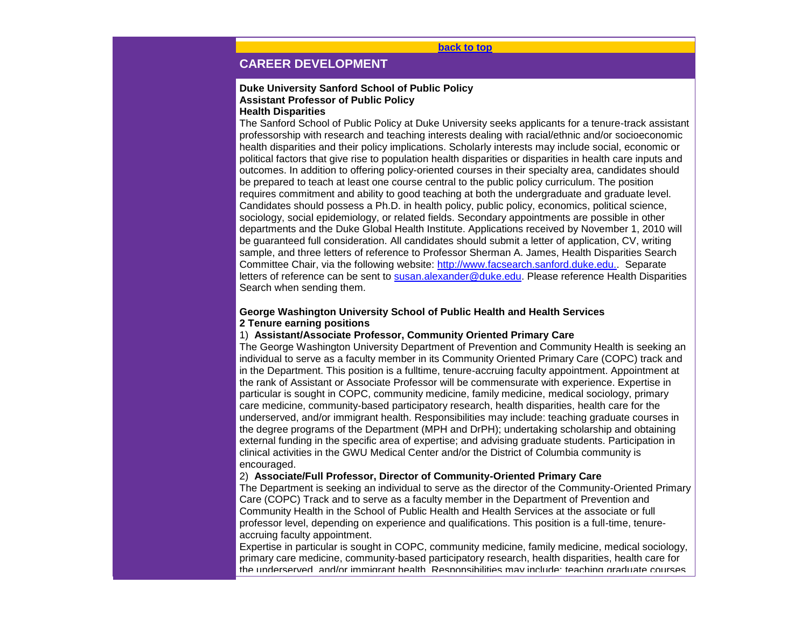**[back to top](#page-0-0)**

# <span id="page-6-0"></span>**CAREER DEVELOPMENT**

# **Duke University Sanford School of Public Policy Assistant Professor of Public Policy**

## **Health Disparities**

The Sanford School of Public Policy at Duke University seeks applicants for a tenure-track assistant professorship with research and teaching interests dealing with racial/ethnic and/or socioeconomic health disparities and their policy implications. Scholarly interests may include social, economic or political factors that give rise to population health disparities or disparities in health care inputs and outcomes. In addition to offering policy-oriented courses in their specialty area, candidates should be prepared to teach at least one course central to the public policy curriculum. The position requires commitment and ability to good teaching at both the undergraduate and graduate level. Candidates should possess a Ph.D. in health policy, public policy, economics, political science, sociology, social epidemiology, or related fields. Secondary appointments are possible in other departments and the Duke Global Health Institute. Applications received by November 1, 2010 will be guaranteed full consideration. All candidates should submit a letter of application, CV, writing sample, and three letters of reference to Professor Sherman A. James, Health Disparities Search Committee Chair, via the following website: [http://www.facsearch.sanford.duke.edu..](http://r20.rs6.net/tn.jsp?et=1103488072567&s=0&e=001ZbRH4lRBQsHkRXlMbhMtfHu7egiIyKAAJ7ixXSilcuYnfqDHWXv12tCFvQql9ipw4L3PEb8VTwvlgyT0YBBi4NXFrqX2q7jgmxmxrqPjyn45a47Ig7eNb2uJZ9ysWPd9g_csEPvP5Us=) Separate letters of reference can be sent to [susan.alexander@duke.edu.](mailto:susan.alexander@duke.edu) Please reference Health Disparities Search when sending them.

#### **George Washington University School of Public Health and Health Services 2 Tenure earning positions**

#### 1) **Assistant/Associate Professor, Community Oriented Primary Care**

The George Washington University Department of Prevention and Community Health is seeking an individual to serve as a faculty member in its Community Oriented Primary Care (COPC) track and in the Department. This position is a fulltime, tenure-accruing faculty appointment. Appointment at the rank of Assistant or Associate Professor will be commensurate with experience. Expertise in particular is sought in COPC, community medicine, family medicine, medical sociology, primary care medicine, community-based participatory research, health disparities, health care for the underserved, and/or immigrant health. Responsibilities may include: teaching graduate courses in the degree programs of the Department (MPH and DrPH); undertaking scholarship and obtaining external funding in the specific area of expertise; and advising graduate students. Participation in clinical activities in the GWU Medical Center and/or the District of Columbia community is encouraged.

### 2) **Associate/Full Professor, Director of Community-Oriented Primary Care**

The Department is seeking an individual to serve as the director of the Community-Oriented Primary Care (COPC) Track and to serve as a faculty member in the Department of Prevention and Community Health in the School of Public Health and Health Services at the associate or full professor level, depending on experience and qualifications. This position is a full-time, tenureaccruing faculty appointment.

Expertise in particular is sought in COPC, community medicine, family medicine, medical sociology, primary care medicine, community-based participatory research, health disparities, health care for the underserved, and/or immigrant health. Responsibilities may include: teaching graduate courses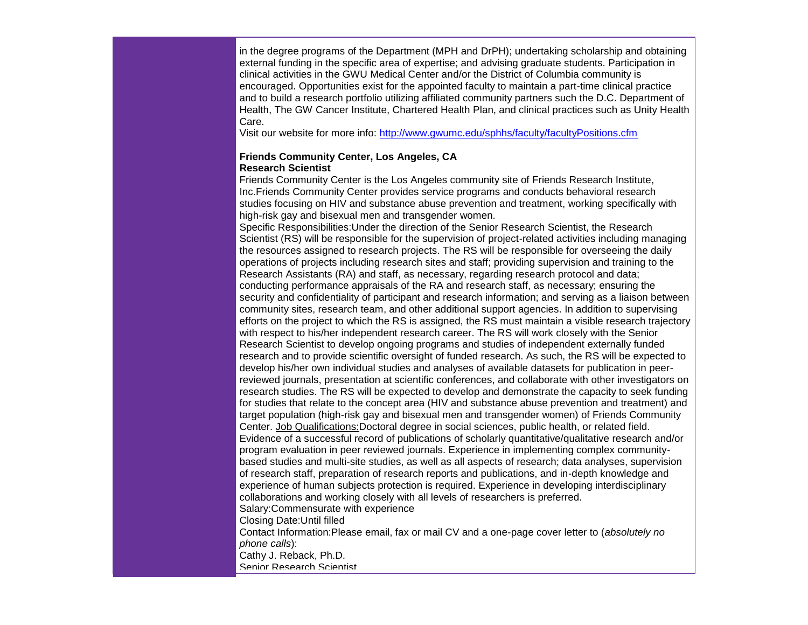in the degree programs of the Department (MPH and DrPH); undertaking scholarship and obtaining external funding in the specific area of expertise; and advising graduate students. Participation in clinical activities in the GWU Medical Center and/or the District of Columbia community is encouraged. Opportunities exist for the appointed faculty to maintain a part-time clinical practice and to build a research portfolio utilizing affiliated community partners such the D.C. Department of Health, The GW Cancer Institute, Chartered Health Plan, and clinical practices such as Unity Health Care.

Visit our website for more info: [http://www.gwumc.edu/sphhs/faculty/facultyPositions.cfm](http://r20.rs6.net/tn.jsp?et=1103488072567&s=0&e=001ZbRH4lRBQsHkRXlMbhMtfHu7egiIyKAAJ7ixXSilcuYnfqDHWXv12tCFvQql9ipw4L3PEb8VTwsT280b2aCCmmGKl076OXs5XoWNzHh9WNFpx-gn2Kplg2uMY67SFIZXIGBhb-AIJc1BNj-Vbo4c2Lv844Pry4ov)

### **Friends Community Center, Los Angeles, CA Research Scientist**

Friends Community Center is the Los Angeles community site of Friends Research Institute, Inc.Friends Community Center provides service programs and conducts behavioral research studies focusing on HIV and substance abuse prevention and treatment, working specifically with high-risk gay and bisexual men and transgender women.

Specific Responsibilities:Under the direction of the Senior Research Scientist, the Research Scientist (RS) will be responsible for the supervision of project-related activities including managing the resources assigned to research projects. The RS will be responsible for overseeing the daily operations of projects including research sites and staff; providing supervision and training to the Research Assistants (RA) and staff, as necessary, regarding research protocol and data; conducting performance appraisals of the RA and research staff, as necessary; ensuring the security and confidentiality of participant and research information; and serving as a liaison between community sites, research team, and other additional support agencies. In addition to supervising efforts on the project to which the RS is assigned, the RS must maintain a visible research trajectory with respect to his/her independent research career. The RS will work closely with the Senior Research Scientist to develop ongoing programs and studies of independent externally funded research and to provide scientific oversight of funded research. As such, the RS will be expected to develop his/her own individual studies and analyses of available datasets for publication in peerreviewed journals, presentation at scientific conferences, and collaborate with other investigators on research studies. The RS will be expected to develop and demonstrate the capacity to seek funding for studies that relate to the concept area (HIV and substance abuse prevention and treatment) and target population (high-risk gay and bisexual men and transgender women) of Friends Community Center. Job Qualifications:Doctoral degree in social sciences, public health, or related field. Evidence of a successful record of publications of scholarly quantitative/qualitative research and/or program evaluation in peer reviewed journals. Experience in implementing complex communitybased studies and multi-site studies, as well as all aspects of research; data analyses, supervision of research staff, preparation of research reports and publications, and in-depth knowledge and experience of human subjects protection is required. Experience in developing interdisciplinary collaborations and working closely with all levels of researchers is preferred. Salary:Commensurate with experience Closing Date:Until filled Contact Information:Please email, fax or mail CV and a one-page cover letter to (*absolutely no phone calls*):

Cathy J. Reback, Ph.D. Senior Research Scientist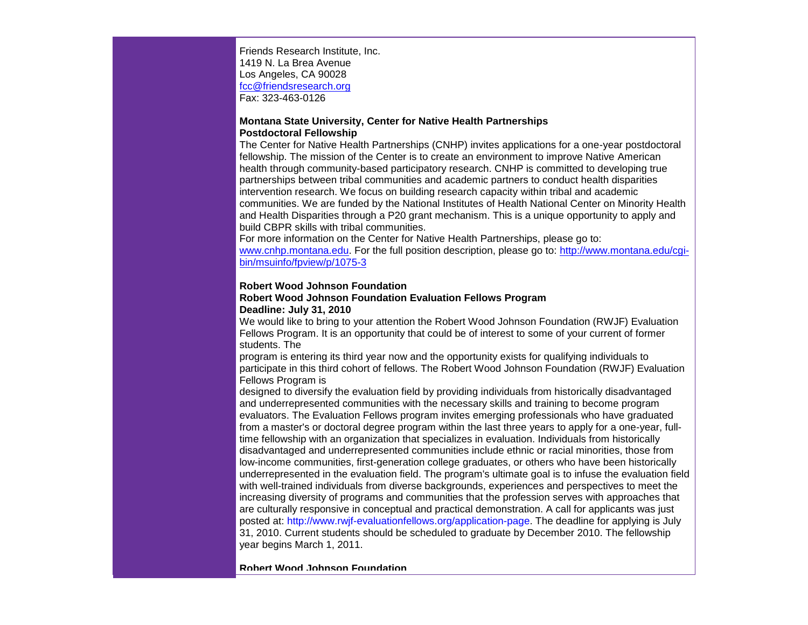Friends Research Institute, Inc. 1419 N. La Brea Avenue Los Angeles, CA 90028 [fcc@friendsresearch.org](mailto:fcc@friendsresearch.org) Fax: 323-463-0126

#### **Montana State University, Center for Native Health Partnerships Postdoctoral Fellowship**

The Center for Native Health Partnerships (CNHP) invites applications for a one-year postdoctoral fellowship. The mission of the Center is to create an environment to improve Native American health through community-based participatory research. CNHP is committed to developing true partnerships between tribal communities and academic partners to conduct health disparities intervention research. We focus on building research capacity within tribal and academic communities. We are funded by the National Institutes of Health National Center on Minority Health and Health Disparities through a P20 grant mechanism. This is a unique opportunity to apply and build CBPR skills with tribal communities.

For more information on the Center for Native Health Partnerships, please go to: [www.cnhp.montana.edu.](http://r20.rs6.net/tn.jsp?et=1103488072567&s=0&e=001ZbRH4lRBQsHkRXlMbhMtfHu7egiIyKAAJ7ixXSilcuYnfqDHWXv12tCFvQql9ipw4L3PEb8VTwvYGYu8oDPKJvyIG1UxpIyFMRQpPEPmfGaX_sHDIjpBFg==) For the full position description, please go to: [http://www.montana.edu/cgi](http://r20.rs6.net/tn.jsp?et=1103488072567&s=0&e=001ZbRH4lRBQsHkRXlMbhMtfHu7egiIyKAAJ7ixXSilcuYnfqDHWXv12tCFvQql9ipw4L3PEb8VTwuP_fiJVFM5zcK2SNe988-u6UnDJKEDbiWFbI_EKzRWGU9ewm1SFhkgobxU1olKYicsH_if4yFe_YqNFIwqrAQX4hb4gBAci74=)[bin/msuinfo/fpview/p/1075-3](http://r20.rs6.net/tn.jsp?et=1103488072567&s=0&e=001ZbRH4lRBQsHkRXlMbhMtfHu7egiIyKAAJ7ixXSilcuYnfqDHWXv12tCFvQql9ipw4L3PEb8VTwuP_fiJVFM5zcK2SNe988-u6UnDJKEDbiWFbI_EKzRWGU9ewm1SFhkgobxU1olKYicsH_if4yFe_YqNFIwqrAQX4hb4gBAci74=)

#### **Robert Wood Johnson Foundation**

## **Robert Wood Johnson Foundation Evaluation Fellows Program Deadline: July 31, 2010**

We would like to bring to your attention the Robert Wood Johnson Foundation (RWJF) Evaluation Fellows Program. It is an opportunity that could be of interest to some of your current of former students. The

program is entering its third year now and the opportunity exists for qualifying individuals to participate in this third cohort of fellows. The Robert Wood Johnson Foundation (RWJF) Evaluation Fellows Program is

designed to diversify the evaluation field by providing individuals from historically disadvantaged and underrepresented communities with the necessary skills and training to become program evaluators. The Evaluation Fellows program invites emerging professionals who have graduated from a master's or doctoral degree program within the last three years to apply for a one-year, fulltime fellowship with an organization that specializes in evaluation. Individuals from historically disadvantaged and underrepresented communities include ethnic or racial minorities, those from low-income communities, first-generation college graduates, or others who have been historically underrepresented in the evaluation field. The program's ultimate goal is to infuse the evaluation field with well-trained individuals from diverse backgrounds, experiences and perspectives to meet the increasing diversity of programs and communities that the profession serves with approaches that are culturally responsive in conceptual and practical demonstration. A call for applicants was just posted at: [http://www.rwjf-evaluationfellows.org/application-page.](http://r20.rs6.net/tn.jsp?et=1103488072567&s=0&e=001ZbRH4lRBQsHkRXlMbhMtfHu7egiIyKAAJ7ixXSilcuYnfqDHWXv12tCFvQql9ipw4L3PEb8VTwuumMg8-sUfkVFNGkmlIC2ijUFmK_4UcQae19kOVO-Fl4cFZmnihUnFUcrDveF-7hF-Vo4KQ6frqMjaCAoJ6nD3) The deadline for applying is July 31, 2010. Current students should be scheduled to graduate by December 2010. The fellowship year begins March 1, 2011.

**Robert Wood Johnson Foundation**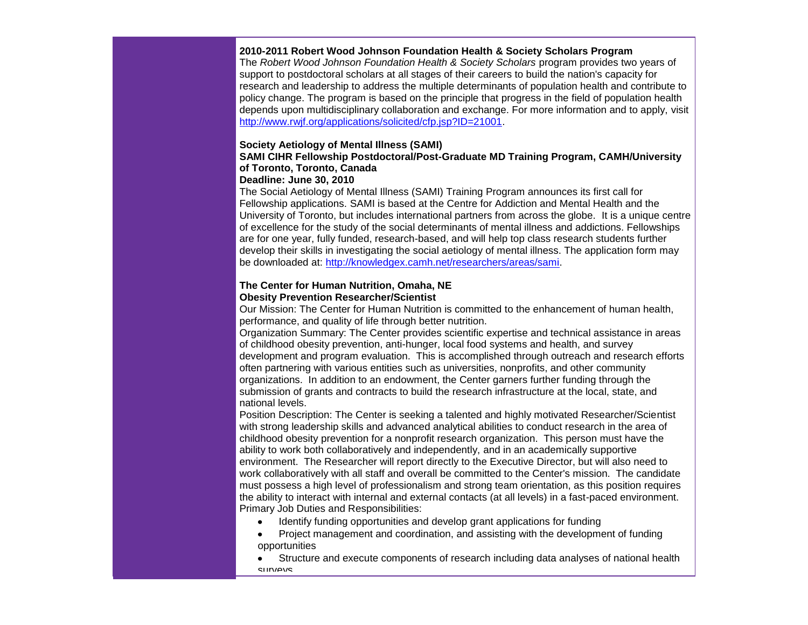#### **2010-2011 Robert Wood Johnson Foundation Health & Society Scholars Program**

The *Robert Wood Johnson Foundation Health & Society Scholars* program provides two years of support to postdoctoral scholars at all stages of their careers to build the nation's capacity for research and leadership to address the multiple determinants of population health and contribute to policy change. The program is based on the principle that progress in the field of population health depends upon multidisciplinary collaboration and exchange. For more information and to apply, visit http://www.rwif.org/applications/solicited/cfp.jsp?ID=21001.

#### **Society Aetiology of Mental Illness (SAMI)**

# **SAMI CIHR Fellowship Postdoctoral/Post-Graduate MD Training Program, CAMH/University of Toronto, Toronto, Canada**

## **Deadline: June 30, 2010**

The Social Aetiology of Mental Illness (SAMI) Training Program announces its first call for Fellowship applications. SAMI is based at the Centre for Addiction and Mental Health and the University of Toronto, but includes international partners from across the globe. It is a unique centre of excellence for the study of the social determinants of mental illness and addictions. Fellowships are for one year, fully funded, research-based, and will help top class research students further develop their skills in investigating the social aetiology of mental illness. The application form may be downloaded at: [http://knowledgex.camh.net/researchers/areas/sami.](http://r20.rs6.net/tn.jsp?et=1103488072567&s=0&e=001ZbRH4lRBQsHkRXlMbhMtfHu7egiIyKAAJ7ixXSilcuYnfqDHWXv12tCFvQql9ipw_lUQ9LQIdDenuCD27J0AKyGspSBDNLFtuegmoYXA-K9qj8Ct26q5OVCxR15PuZUVWwFmmSnDeLyODCa7fuDDoQ==)

## **The Center for Human Nutrition, Omaha, NE Obesity Prevention Researcher/Scientist**

Our Mission: The Center for Human Nutrition is committed to the enhancement of human health, performance, and quality of life through better nutrition.

Organization Summary: The Center provides scientific expertise and technical assistance in areas of childhood obesity prevention, anti-hunger, local food systems and health, and survey development and program evaluation. This is accomplished through outreach and research efforts often partnering with various entities such as universities, nonprofits, and other community organizations. In addition to an endowment, the Center garners further funding through the submission of grants and contracts to build the research infrastructure at the local, state, and national levels.

Position Description: The Center is seeking a talented and highly motivated Researcher/Scientist with strong leadership skills and advanced analytical abilities to conduct research in the area of childhood obesity prevention for a nonprofit research organization. This person must have the ability to work both collaboratively and independently, and in an academically supportive environment. The Researcher will report directly to the Executive Director, but will also need to work collaboratively with all staff and overall be committed to the Center's mission. The candidate must possess a high level of professionalism and strong team orientation, as this position requires the ability to interact with internal and external contacts (at all levels) in a fast-paced environment. Primary Job Duties and Responsibilities:

- Identify funding opportunities and develop grant applications for funding
- Project management and coordination, and assisting with the development of funding opportunities
- Structure and execute components of research including data analyses of national health surveys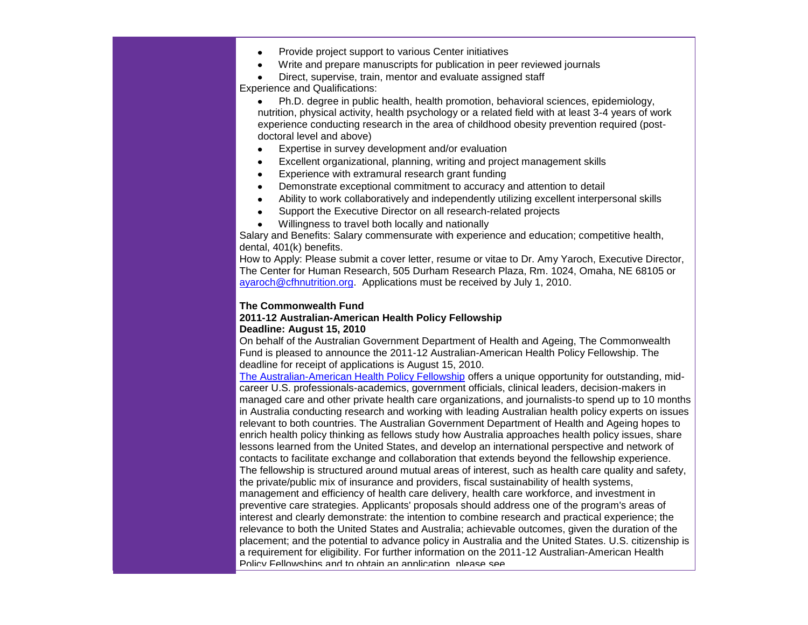- Provide project support to various Center initiatives
- Write and prepare manuscripts for publication in peer reviewed journals
- Direct, supervise, train, mentor and evaluate assigned staff

Experience and Qualifications:

- Ph.D. degree in public health, health promotion, behavioral sciences, epidemiology, nutrition, physical activity, health psychology or a related field with at least 3-4 years of work experience conducting research in the area of childhood obesity prevention required (postdoctoral level and above)
- Expertise in survey development and/or evaluation
- Excellent organizational, planning, writing and project management skills
- Experience with extramural research grant funding
- Demonstrate exceptional commitment to accuracy and attention to detail
- Ability to work collaboratively and independently utilizing excellent interpersonal skills
- Support the Executive Director on all research-related projects
- Willingness to travel both locally and nationally

Salary and Benefits: Salary commensurate with experience and education; competitive health, dental, 401(k) benefits.

How to Apply: Please submit a cover letter, resume or vitae to Dr. Amy Yaroch, Executive Director, The Center for Human Research, 505 Durham Research Plaza, Rm. 1024, Omaha, NE 68105 or [ayaroch@cfhnutrition.org.](mailto:ayaroch@cfhnutrition.org) Applications must be received by July 1, 2010.

#### **The Commonwealth Fund**

#### **2011-12 Australian-American Health Policy Fellowship Deadline: August 15, 2010**

On behalf of the Australian Government Department of Health and Ageing, The Commonwealth Fund is pleased to announce the 2011-12 Australian-American Health Policy Fellowship. The deadline for receipt of applications is August 15, 2010.

[The Australian-American Health Policy Fellowship](http://r20.rs6.net/tn.jsp?et=1103488072567&s=0&e=001ZbRH4lRBQsHkRXlMbhMtfHu7egiIyKAAJ7ixXSilcuYnfqDHWXv12tCFvQql9ipwjRNQvGiqZkHIt51R53iabeySS1re8tMqPwXtOvnNuLYRBqk_mpZ1LrOdRAHDZPg2MEb6bOhoHaExx6L97pYCMsjRIPwYr5lVBoGjMqEvi94=) offers a unique opportunity for outstanding, midcareer U.S. professionals-academics, government officials, clinical leaders, decision-makers in managed care and other private health care organizations, and journalists-to spend up to 10 months in Australia conducting research and working with leading Australian health policy experts on issues relevant to both countries. The Australian Government Department of Health and Ageing hopes to enrich health policy thinking as fellows study how Australia approaches health policy issues, share lessons learned from the United States, and develop an international perspective and network of contacts to facilitate exchange and collaboration that extends beyond the fellowship experience. The fellowship is structured around mutual areas of interest, such as health care quality and safety, the private/public mix of insurance and providers, fiscal sustainability of health systems, management and efficiency of health care delivery, health care workforce, and investment in preventive care strategies. Applicants' proposals should address one of the program's areas of interest and clearly demonstrate: the intention to combine research and practical experience; the relevance to both the United States and Australia; achievable outcomes, given the duration of the placement; and the potential to advance policy in Australia and the United States. U.S. citizenship is a requirement for eligibility. For further information on the 2011-12 Australian-American Health Policy Fellowships and to obtain an application, please see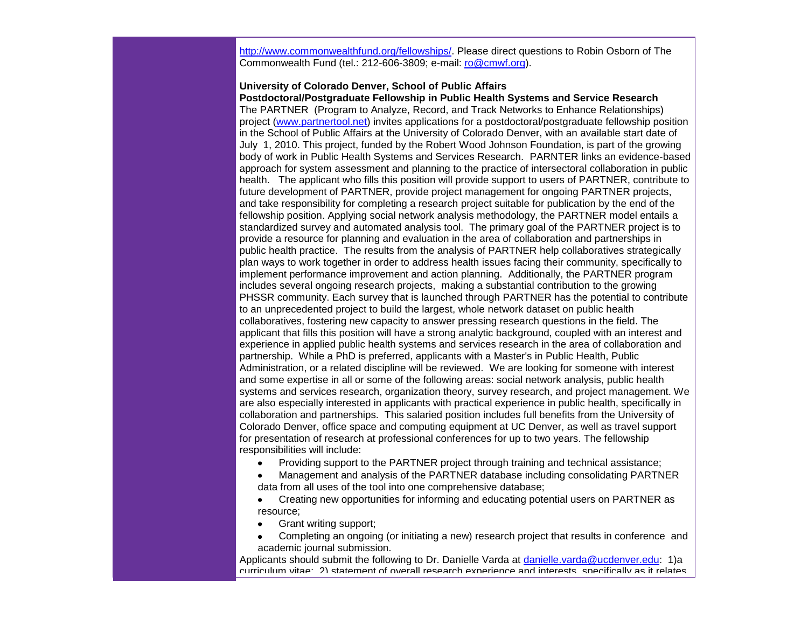[http://www.commonwealthfund.org/fellowships/.](http://r20.rs6.net/tn.jsp?et=1103488072567&s=0&e=001ZbRH4lRBQsHkRXlMbhMtfHu7egiIyKAAJ7ixXSilcuYnfqDHWXv12tCFvQql9ipw4L3PEb8VTwsAjkGzAla2ehIqlKOTgPAhK6avdvjmMvFxkqYcYhS4h2wE3iafWHpREBhic3J7ClxgxWshsB84uA==) Please direct questions to Robin Osborn of The Commonwealth Fund (tel.: 212-606-3809; e-mail: [ro@cmwf.org\)](mailto:ro@cmwf.org).

#### **University of Colorado Denver, School of Public Affairs Postdoctoral/Postgraduate Fellowship in Public Health Systems and Service Research**

The PARTNER (Program to Analyze, Record, and Track Networks to Enhance Relationships) project [\(www.partnertool.net\)](http://r20.rs6.net/tn.jsp?et=1103488072567&s=0&e=001ZbRH4lRBQsHkRXlMbhMtfHu7egiIyKAAJ7ixXSilcuYnfqDHWXv12tCFvQql9ipw4L3PEb8VTwtUcD2o5JwZKCYrfFOAJ0O-sKNgWgdloT3VPMHVdcS6yw==) invites applications for a postdoctoral/postgraduate fellowship position in the School of Public Affairs at the University of Colorado Denver, with an available start date of July 1, 2010. This project, funded by the Robert Wood Johnson Foundation, is part of the growing body of work in Public Health Systems and Services Research. PARNTER links an evidence-based approach for system assessment and planning to the practice of intersectoral collaboration in public health. The applicant who fills this position will provide support to users of PARTNER, contribute to future development of PARTNER, provide project management for ongoing PARTNER projects, and take responsibility for completing a research project suitable for publication by the end of the fellowship position. Applying social network analysis methodology, the PARTNER model entails a standardized survey and automated analysis tool. The primary goal of the PARTNER project is to provide a resource for planning and evaluation in the area of collaboration and partnerships in public health practice. The results from the analysis of PARTNER help collaboratives strategically plan ways to work together in order to address health issues facing their community, specifically to implement performance improvement and action planning. Additionally, the PARTNER program includes several ongoing research projects, making a substantial contribution to the growing PHSSR community. Each survey that is launched through PARTNER has the potential to contribute to an unprecedented project to build the largest, whole network dataset on public health collaboratives, fostering new capacity to answer pressing research questions in the field. The applicant that fills this position will have a strong analytic background, coupled with an interest and experience in applied public health systems and services research in the area of collaboration and partnership. While a PhD is preferred, applicants with a Master's in Public Health, Public Administration, or a related discipline will be reviewed. We are looking for someone with interest and some expertise in all or some of the following areas: social network analysis, public health systems and services research, organization theory, survey research, and project management. We are also especially interested in applicants with practical experience in public health, specifically in collaboration and partnerships. This salaried position includes full benefits from the University of Colorado Denver, office space and computing equipment at UC Denver, as well as travel support for presentation of research at professional conferences for up to two years. The fellowship responsibilities will include:

Providing support to the PARTNER project through training and technical assistance;

 Management and analysis of the PARTNER database including consolidating PARTNER data from all uses of the tool into one comprehensive database;

 Creating new opportunities for informing and educating potential users on PARTNER as resource;

- Grant writing support;
- Completing an ongoing (or initiating a new) research project that results in conference and academic journal submission.

Applicants should submit the following to Dr. Danielle Varda at [danielle.varda@ucdenver.edu:](mailto:danielle.varda@ucdenver.edu) 1)a curriculum vitae; 2) statement of overall research experience and interests, specifically as it relates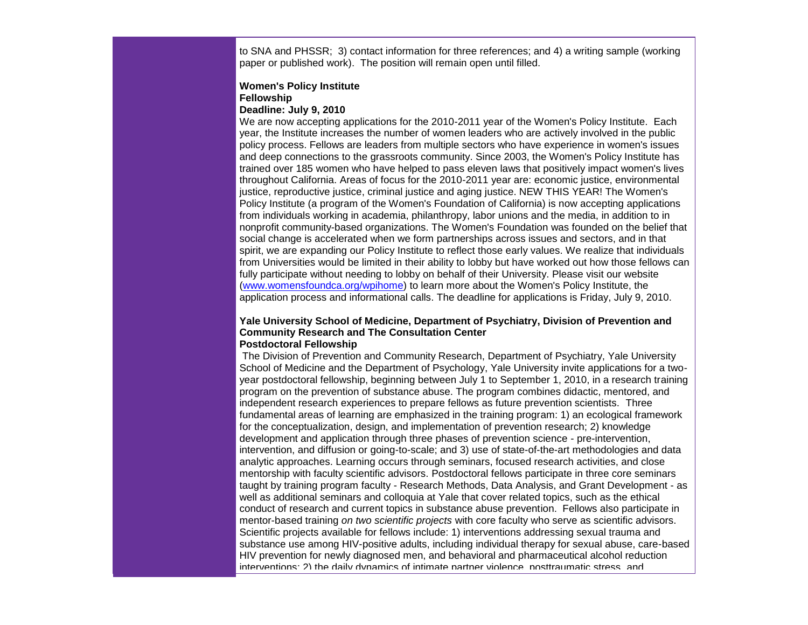to SNA and PHSSR; 3) contact information for three references; and 4) a writing sample (working paper or published work). The position will remain open until filled.

#### **Women's Policy Institute Fellowship Deadline: July 9, 2010**

We are now accepting applications for the 2010-2011 year of the Women's Policy Institute. Each year, the Institute increases the number of women leaders who are actively involved in the public policy process. Fellows are leaders from multiple sectors who have experience in women's issues and deep connections to the grassroots community. Since 2003, the Women's Policy Institute has trained over 185 women who have helped to pass eleven laws that positively impact women's lives throughout California. Areas of focus for the 2010-2011 year are: economic justice, environmental justice, reproductive justice, criminal justice and aging justice. NEW THIS YEAR! The Women's Policy Institute (a program of the Women's Foundation of California) is now accepting applications from individuals working in academia, philanthropy, labor unions and the media, in addition to in nonprofit community-based organizations. The Women's Foundation was founded on the belief that social change is accelerated when we form partnerships across issues and sectors, and in that spirit, we are expanding our Policy Institute to reflect those early values. We realize that individuals from Universities would be limited in their ability to lobby but have worked out how those fellows can fully participate without needing to lobby on behalf of their University. Please visit our website [\(www.womensfoundca.org/wpihome\)](http://r20.rs6.net/tn.jsp?et=1103488072567&s=0&e=001ZbRH4lRBQsHkRXlMbhMtfHu7egiIyKAAJ7ixXSilcuYnfqDHWXv12tCFvQql9ipw4L3PEb8VTwsB0TuUQuBTCe19z5YzGe-REHsHhyxiuW1JzVCgDGjMz86BYquS8PL3) to learn more about the Women's Policy Institute, the application process and informational calls. The deadline for applications is Friday, July 9, 2010.

#### **Yale University School of Medicine, Department of Psychiatry, Division of Prevention and Community Research and The Consultation Center Postdoctoral Fellowship**

The Division of Prevention and Community Research, Department of Psychiatry, Yale University School of Medicine and the Department of Psychology, Yale University invite applications for a twoyear postdoctoral fellowship, beginning between July 1 to September 1, 2010, in a research training program on the prevention of substance abuse. The program combines didactic, mentored, and independent research experiences to prepare fellows as future prevention scientists. Three fundamental areas of learning are emphasized in the training program: 1) an ecological framework for the conceptualization, design, and implementation of prevention research; 2) knowledge development and application through three phases of prevention science - pre-intervention, intervention, and diffusion or going-to-scale; and 3) use of state-of-the-art methodologies and data analytic approaches. Learning occurs through seminars, focused research activities, and close mentorship with faculty scientific advisors. Postdoctoral fellows participate in three core seminars taught by training program faculty - Research Methods, Data Analysis, and Grant Development - as well as additional seminars and colloquia at Yale that cover related topics, such as the ethical conduct of research and current topics in substance abuse prevention. Fellows also participate in mentor-based training *on two scientific projects* with core faculty who serve as scientific advisors. Scientific projects available for fellows include: 1) interventions addressing sexual trauma and substance use among HIV-positive adults, including individual therapy for sexual abuse, care-based HIV prevention for newly diagnosed men, and behavioral and pharmaceutical alcohol reduction interventions; 2) the daily dynamics of intimate partner violence, posttraumatic stress, and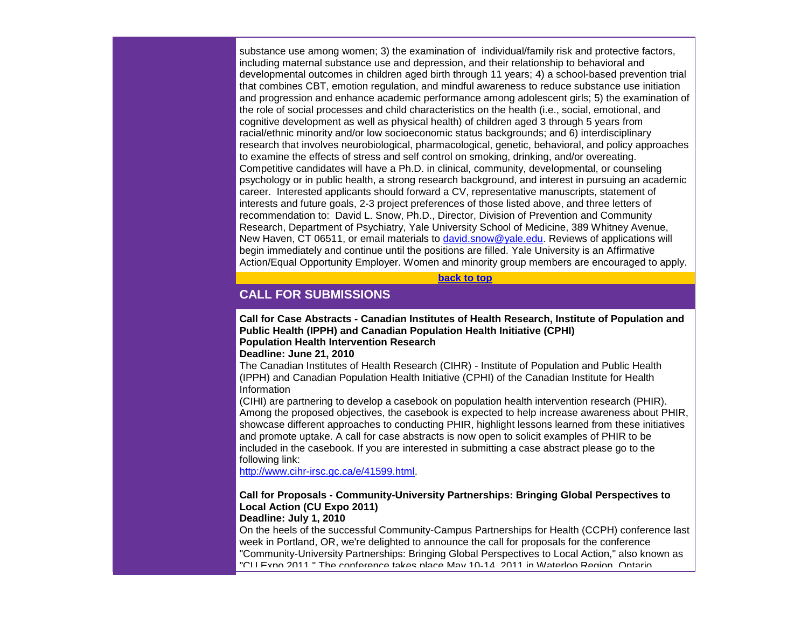substance use among women; 3) the examination of individual/family risk and protective factors, including maternal substance use and depression, and their relationship to behavioral and developmental outcomes in children aged birth through 11 years; 4) a school-based prevention trial that combines CBT, emotion regulation, and mindful awareness to reduce substance use initiation and progression and enhance academic performance among adolescent girls; 5) the examination of the role of social processes and child characteristics on the health (i.e., social, emotional, and cognitive development as well as physical health) of children aged 3 through 5 years from racial/ethnic minority and/or low socioeconomic status backgrounds; and 6) interdisciplinary research that involves neurobiological, pharmacological, genetic, behavioral, and policy approaches to examine the effects of stress and self control on smoking, drinking, and/or overeating. Competitive candidates will have a Ph.D. in clinical, community, developmental, or counseling psychology or in public health, a strong research background, and interest in pursuing an academic career. Interested applicants should forward a CV, representative manuscripts, statement of interests and future goals, 2-3 project preferences of those listed above, and three letters of recommendation to: David L. Snow, Ph.D., Director, Division of Prevention and Community Research, Department of Psychiatry, Yale University School of Medicine, 389 Whitney Avenue, New Haven, CT 06511, or email materials to [david.snow@yale.edu.](mailto:david.snow@yale.edu) Reviews of applications will begin immediately and continue until the positions are filled. Yale University is an Affirmative Action/Equal Opportunity Employer. Women and minority group members are encouraged to apply.

**[back to top](#page-0-0)**

# <span id="page-13-0"></span>**CALL FOR SUBMISSIONS**

**Call for Case Abstracts - Canadian Institutes of Health Research, Institute of Population and Public Health (IPPH) and Canadian Population Health Initiative (CPHI) Population Health Intervention Research**

**Deadline: June 21, 2010**

The Canadian Institutes of Health Research (CIHR) - Institute of Population and Public Health (IPPH) and Canadian Population Health Initiative (CPHI) of the Canadian Institute for Health Information

(CIHI) are partnering to develop a casebook on population health intervention research (PHIR). Among the proposed objectives, the casebook is expected to help increase awareness about PHIR, showcase different approaches to conducting PHIR, highlight lessons learned from these initiatives and promote uptake. A call for case abstracts is now open to solicit examples of PHIR to be included in the casebook. If you are interested in submitting a case abstract please go to the following link:

[http://www.cihr-irsc.gc.ca/e/41599.html.](http://r20.rs6.net/tn.jsp?et=1103488072567&s=0&e=001ZbRH4lRBQsHkRXlMbhMtfHu7egiIyKAAJ7ixXSilcuYnfqDHWXv12tCFvQql9ipw4L3PEb8VTwuTe4wfgpVX8u_EbC_TGwlWxRWNdztMu9bo-6B7UdJ-xHPzb7D2PxKKw0bWDxcyvsU=)

# **Call for Proposals - Community-University Partnerships: Bringing Global Perspectives to Local Action (CU Expo 2011)**

**Deadline: July 1, 2010** On the heels of the successful Community-Campus Partnerships for Health (CCPH) conference last week in Portland, OR, we're delighted to announce the call for proposals for the conference "Community-University Partnerships: Bringing Global Perspectives to Local Action," also known as "CU Expo 2011." The conference takes place May 10-14, 2011 in Waterloo Region, Ontario,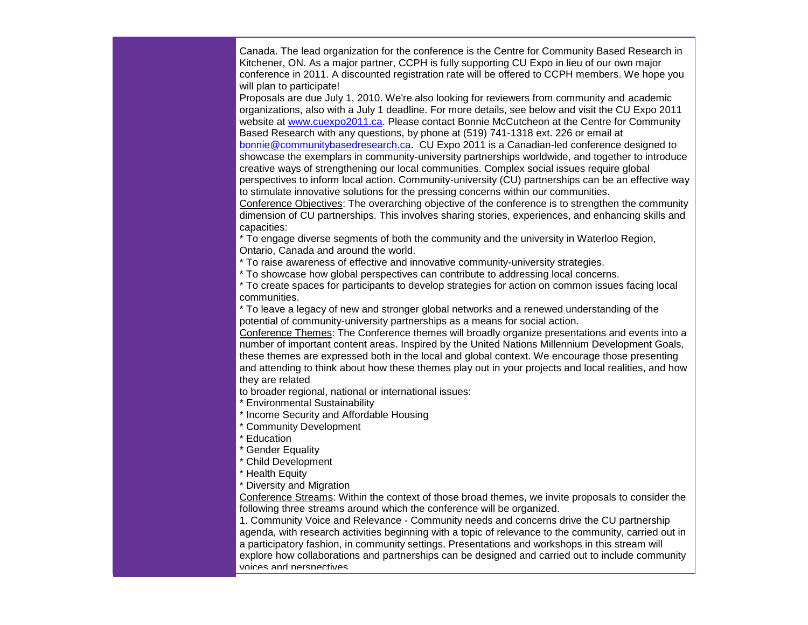Canada. The lead organization for the conference is the Centre for Community Based Research in Kitchener, ON. As a major partner, CCPH is fully supporting CU Expo in lieu of our own major conference in 2011. A discounted registration rate will be offered to CCPH members. We hope you will plan to participate!

Proposals are due July 1, 2010. We're also looking for reviewers from community and academic organizations, also with a July 1 deadline. For more details, see below and visit the CU Expo 2011 website at [www.cuexpo2011.ca.](http://r20.rs6.net/tn.jsp?et=1103488072567&s=0&e=001ZbRH4lRBQsHkRXlMbhMtfHu7egiIyKAAJ7ixXSilcuYnfqDHWXv12tCFvQql9ipw4L3PEb8VTwukM0swA97XC0UmQCp4AbucMnC4PNs6XhxDvSR5URxfcA==) Please contact Bonnie McCutcheon at the Centre for Community Based Research with any questions, by phone at (519) 741-1318 ext. 226 or email at [bonnie@communitybasedresearch.ca.](mailto:bonnie@communitybasedresearch.ca) CU Expo 2011 is a Canadian-led conference designed to showcase the exemplars in community-university partnerships worldwide, and together to introduce creative ways of strengthening our local communities. Complex social issues require global perspectives to inform local action. Community-university (CU) partnerships can be an effective way to stimulate innovative solutions for the pressing concerns within our communities.

Conference Objectives: The overarching objective of the conference is to strengthen the community dimension of CU partnerships. This involves sharing stories, experiences, and enhancing skills and capacities:

\* To engage diverse segments of both the community and the university in Waterloo Region, Ontario, Canada and around the world.

\* To raise awareness of effective and innovative community-university strategies.

\* To showcase how global perspectives can contribute to addressing local concerns.

\* To create spaces for participants to develop strategies for action on common issues facing local communities.

\* To leave a legacy of new and stronger global networks and a renewed understanding of the potential of community-university partnerships as a means for social action.

Conference Themes: The Conference themes will broadly organize presentations and events into a number of important content areas. Inspired by the United Nations Millennium Development Goals, these themes are expressed both in the local and global context. We encourage those presenting and attending to think about how these themes play out in your projects and local realities, and how they are related

to broader regional, national or international issues:

\* Environmental Sustainability

\* Income Security and Affordable Housing

Community Development

**Education** 

**Gender Equality** 

\* Child Development

\* Health Equity

\* Diversity and Migration

Conference Streams: Within the context of those broad themes, we invite proposals to consider the following three streams around which the conference will be organized.

1. Community Voice and Relevance - Community needs and concerns drive the CU partnership agenda, with research activities beginning with a topic of relevance to the community, carried out in a participatory fashion, in community settings. Presentations and workshops in this stream will explore how collaborations and partnerships can be designed and carried out to include community voices and perspectives.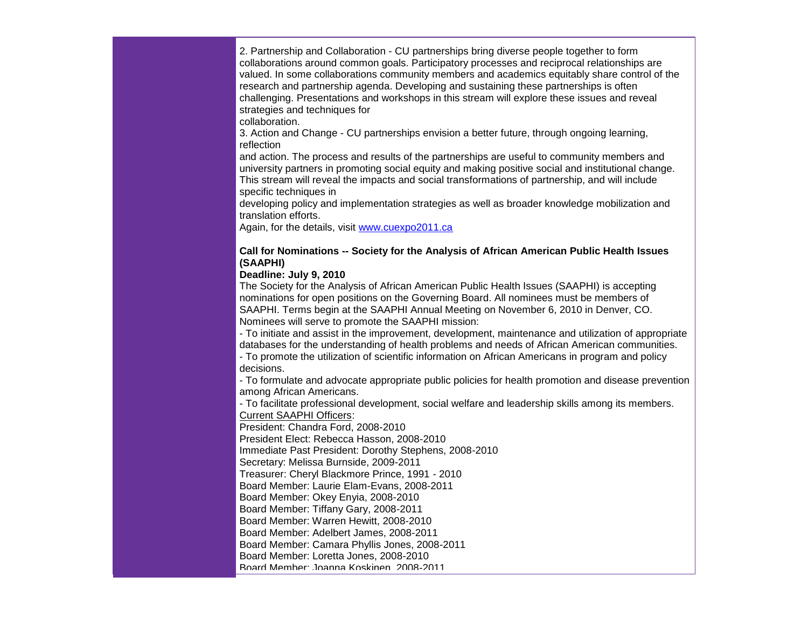2. Partnership and Collaboration - CU partnerships bring diverse people together to form collaborations around common goals. Participatory processes and reciprocal relationships are valued. In some collaborations community members and academics equitably share control of the research and partnership agenda. Developing and sustaining these partnerships is often challenging. Presentations and workshops in this stream will explore these issues and reveal strategies and techniques for

collaboration.

3. Action and Change - CU partnerships envision a better future, through ongoing learning, reflection

and action. The process and results of the partnerships are useful to community members and university partners in promoting social equity and making positive social and institutional change. This stream will reveal the impacts and social transformations of partnership, and will include specific techniques in

developing policy and implementation strategies as well as broader knowledge mobilization and translation efforts.

Again, for the details, visit [www.cuexpo2011.ca](http://r20.rs6.net/tn.jsp?et=1103488072567&s=0&e=001ZbRH4lRBQsHkRXlMbhMtfHu7egiIyKAAJ7ixXSilcuYnfqDHWXv12tCFvQql9ipw4L3PEb8VTwukM0swA97XC0UmQCp4AbucMnC4PNs6XhxDvSR5URxfcA==)

#### **Call for Nominations -- Society for the Analysis of African American Public Health Issues (SAAPHI)**

### **Deadline: July 9, 2010**

The Society for the Analysis of African American Public Health Issues (SAAPHI) is accepting nominations for open positions on the Governing Board. All nominees must be members of SAAPHI. Terms begin at the SAAPHI Annual Meeting on November 6, 2010 in Denver, CO. Nominees will serve to promote the SAAPHI mission:

- To initiate and assist in the improvement, development, maintenance and utilization of appropriate databases for the understanding of health problems and needs of African American communities.

- To promote the utilization of scientific information on African Americans in program and policy decisions.

- To formulate and advocate appropriate public policies for health promotion and disease prevention among African Americans.

- To facilitate professional development, social welfare and leadership skills among its members. Current SAAPHI Officers:

President: Chandra Ford, 2008-2010 President Elect: Rebecca Hasson, 2008-2010 Immediate Past President: Dorothy Stephens, 2008-2010 Secretary: Melissa Burnside, 2009-2011 Treasurer: Cheryl Blackmore Prince, 1991 - 2010 Board Member: Laurie Elam-Evans, 2008-2011 Board Member: Okey Enyia, 2008-2010 Board Member: Tiffany Gary, 2008-2011 Board Member: Warren Hewitt, 2008-2010 Board Member: Adelbert James, 2008-2011 Board Member: Camara Phyllis Jones, 2008-2011 Board Member: Loretta Jones, 2008-2010 Board Member: Joanna Koskinen, 2008-2011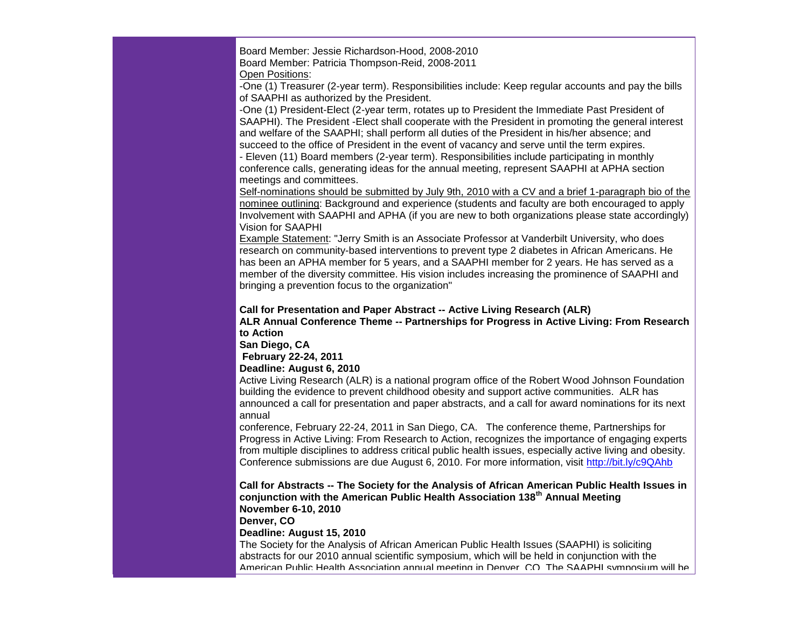Board Member: Jessie Richardson-Hood, 2008-2010 Board Member: Patricia Thompson-Reid, 2008-2011

Open Positions:

-One (1) Treasurer (2-year term). Responsibilities include: Keep regular accounts and pay the bills of SAAPHI as authorized by the President.

-One (1) President-Elect (2-year term, rotates up to President the Immediate Past President of SAAPHI). The President -Elect shall cooperate with the President in promoting the general interest and welfare of the SAAPHI; shall perform all duties of the President in his/her absence; and succeed to the office of President in the event of vacancy and serve until the term expires.

- Eleven (11) Board members (2-year term). Responsibilities include participating in monthly conference calls, generating ideas for the annual meeting, represent SAAPHI at APHA section meetings and committees.

Self-nominations should be submitted by July 9th, 2010 with a CV and a brief 1-paragraph bio of the nominee outlining: Background and experience (students and faculty are both encouraged to apply Involvement with SAAPHI and APHA (if you are new to both organizations please state accordingly) Vision for SAAPHI

Example Statement: "Jerry Smith is an Associate Professor at Vanderbilt University, who does research on community-based interventions to prevent type 2 diabetes in African Americans. He has been an APHA member for 5 years, and a SAAPHI member for 2 years. He has served as a member of the diversity committee. His vision includes increasing the prominence of SAAPHI and bringing a prevention focus to the organization"

#### **Call for Presentation and Paper Abstract -- Active Living Research (ALR)**

**ALR Annual Conference Theme -- Partnerships for Progress in Active Living: From Research to Action**

**San Diego, CA**

**February 22-24, 2011**

**Deadline: August 6, 2010**

Active Living Research (ALR) is a national program office of the Robert Wood Johnson Foundation building the evidence to prevent childhood obesity and support active communities. ALR has announced a call for presentation and paper abstracts, and a call for award nominations for its next annual

conference, February 22-24, 2011 in San Diego, CA. The conference theme, Partnerships for Progress in Active Living: From Research to Action, recognizes the importance of engaging experts from multiple disciplines to address critical public health issues, especially active living and obesity. Conference submissions are due August 6, 2010. For more information, visit [http://bit.ly/c9QAhb](http://r20.rs6.net/tn.jsp?et=1103488072567&s=0&e=001ZbRH4lRBQsHkRXlMbhMtfHu7egiIyKAAJ7ixXSilcuYnfqDHWXv12tCFvQql9ipwhhfd6jLiqj-YwZLDshi0B4Q8DLFNWvxoWbg5wCZ4cws=)

**Call for Abstracts -- The Society for the Analysis of African American Public Health Issues in conjunction with the American Public Health Association 138th Annual Meeting November 6-10, 2010**

**Denver, CO**

#### **Deadline: August 15, 2010**

The Society for the Analysis of African American Public Health Issues (SAAPHI) is soliciting abstracts for our 2010 annual scientific symposium, which will be held in conjunction with the American Public Health Association annual meeting in Denver, CO. The SAAPHI symposium will be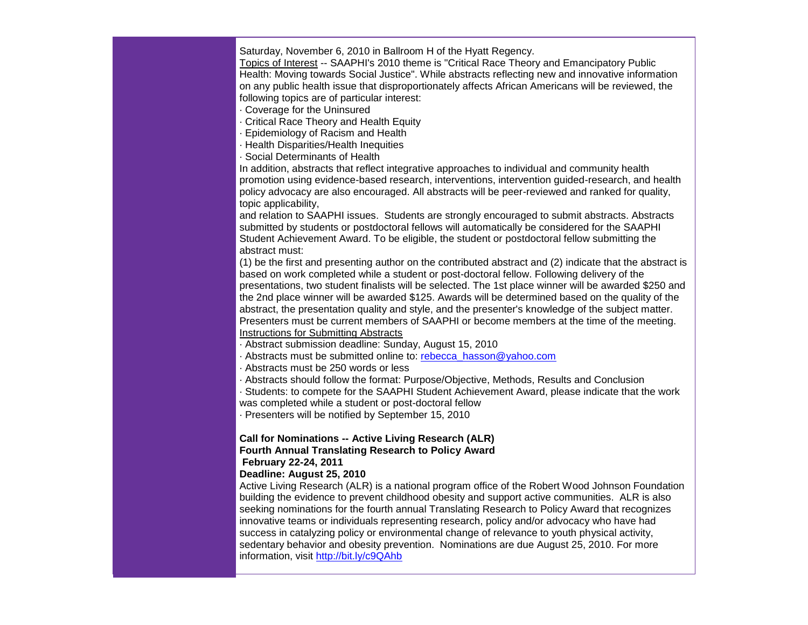Saturday, November 6, 2010 in Ballroom H of the Hyatt Regency.

Topics of Interest -- SAAPHI's 2010 theme is "Critical Race Theory and Emancipatory Public Health: Moving towards Social Justice". While abstracts reflecting new and innovative information on any public health issue that disproportionately affects African Americans will be reviewed, the following topics are of particular interest:

- · Coverage for the Uninsured
- · Critical Race Theory and Health Equity
- · Epidemiology of Racism and Health
- · Health Disparities/Health Inequities
- · Social Determinants of Health

In addition, abstracts that reflect integrative approaches to individual and community health promotion using evidence-based research, interventions, intervention guided-research, and health policy advocacy are also encouraged. All abstracts will be peer-reviewed and ranked for quality, topic applicability,

and relation to SAAPHI issues. Students are strongly encouraged to submit abstracts. Abstracts submitted by students or postdoctoral fellows will automatically be considered for the SAAPHI Student Achievement Award. To be eligible, the student or postdoctoral fellow submitting the abstract must:

(1) be the first and presenting author on the contributed abstract and (2) indicate that the abstract is based on work completed while a student or post-doctoral fellow. Following delivery of the presentations, two student finalists will be selected. The 1st place winner will be awarded \$250 and the 2nd place winner will be awarded \$125. Awards will be determined based on the quality of the abstract, the presentation quality and style, and the presenter's knowledge of the subject matter. Presenters must be current members of SAAPHI or become members at the time of the meeting. Instructions for Submitting Abstracts

- · Abstract submission deadline: Sunday, August 15, 2010
- · Abstracts must be submitted online to: [rebecca\\_hasson@yahoo.com](mailto:rebecca_hasson@yahoo.com)
- · Abstracts must be 250 words or less
- · Abstracts should follow the format: Purpose/Objective, Methods, Results and Conclusion

· Students: to compete for the SAAPHI Student Achievement Award, please indicate that the work was completed while a student or post-doctoral fellow

· Presenters will be notified by September 15, 2010

# **Call for Nominations -- Active Living Research (ALR) Fourth Annual Translating Research to Policy Award February 22-24, 2011**

### **Deadline: August 25, 2010**

Active Living Research (ALR) is a national program office of the Robert Wood Johnson Foundation building the evidence to prevent childhood obesity and support active communities. ALR is also seeking nominations for the fourth annual Translating Research to Policy Award that recognizes innovative teams or individuals representing research, policy and/or advocacy who have had success in catalyzing policy or environmental change of relevance to youth physical activity, sedentary behavior and obesity prevention. Nominations are due August 25, 2010. For more information, visit [http://bit.ly/c9QAhb](http://r20.rs6.net/tn.jsp?et=1103488072567&s=0&e=001ZbRH4lRBQsHkRXlMbhMtfHu7egiIyKAAJ7ixXSilcuYnfqDHWXv12tCFvQql9ipwhhfd6jLiqj-YwZLDshi0B4Q8DLFNWvxoWbg5wCZ4cws=)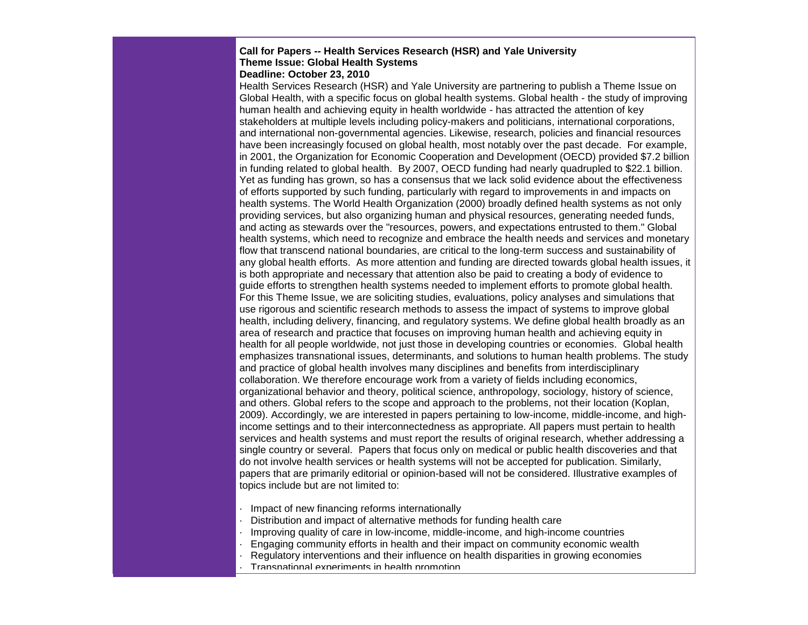#### **Call for Papers -- Health Services Research (HSR) and Yale University Theme Issue: Global Health Systems Deadline: October 23, 2010**

Health Services Research (HSR) and Yale University are partnering to publish a Theme Issue on Global Health, with a specific focus on global health systems. Global health - the study of improving human health and achieving equity in health worldwide - has attracted the attention of key stakeholders at multiple levels including policy-makers and politicians, international corporations, and international non-governmental agencies. Likewise, research, policies and financial resources have been increasingly focused on global health, most notably over the past decade. For example, in 2001, the Organization for Economic Cooperation and Development (OECD) provided \$7.2 billion in funding related to global health. By 2007, OECD funding had nearly quadrupled to \$22.1 billion. Yet as funding has grown, so has a consensus that we lack solid evidence about the effectiveness of efforts supported by such funding, particularly with regard to improvements in and impacts on health systems. The World Health Organization (2000) broadly defined health systems as not only providing services, but also organizing human and physical resources, generating needed funds, and acting as stewards over the "resources, powers, and expectations entrusted to them." Global health systems, which need to recognize and embrace the health needs and services and monetary flow that transcend national boundaries, are critical to the long-term success and sustainability of any global health efforts. As more attention and funding are directed towards global health issues, it is both appropriate and necessary that attention also be paid to creating a body of evidence to guide efforts to strengthen health systems needed to implement efforts to promote global health. For this Theme Issue, we are soliciting studies, evaluations, policy analyses and simulations that use rigorous and scientific research methods to assess the impact of systems to improve global health, including delivery, financing, and regulatory systems. We define global health broadly as an area of research and practice that focuses on improving human health and achieving equity in health for all people worldwide, not just those in developing countries or economies. Global health emphasizes transnational issues, determinants, and solutions to human health problems. The study and practice of global health involves many disciplines and benefits from interdisciplinary collaboration. We therefore encourage work from a variety of fields including economics, organizational behavior and theory, political science, anthropology, sociology, history of science, and others. Global refers to the scope and approach to the problems, not their location (Koplan, 2009). Accordingly, we are interested in papers pertaining to low-income, middle-income, and highincome settings and to their interconnectedness as appropriate. All papers must pertain to health services and health systems and must report the results of original research, whether addressing a single country or several. Papers that focus only on medical or public health discoveries and that do not involve health services or health systems will not be accepted for publication. Similarly, papers that are primarily editorial or opinion-based will not be considered. Illustrative examples of topics include but are not limited to:

- · Impact of new financing reforms internationally
- · Distribution and impact of alternative methods for funding health care
- · Improving quality of care in low-income, middle-income, and high-income countries
- · Engaging community efforts in health and their impact on community economic wealth
	- · Regulatory interventions and their influence on health disparities in growing economies
- · Transnational experiments in health promotion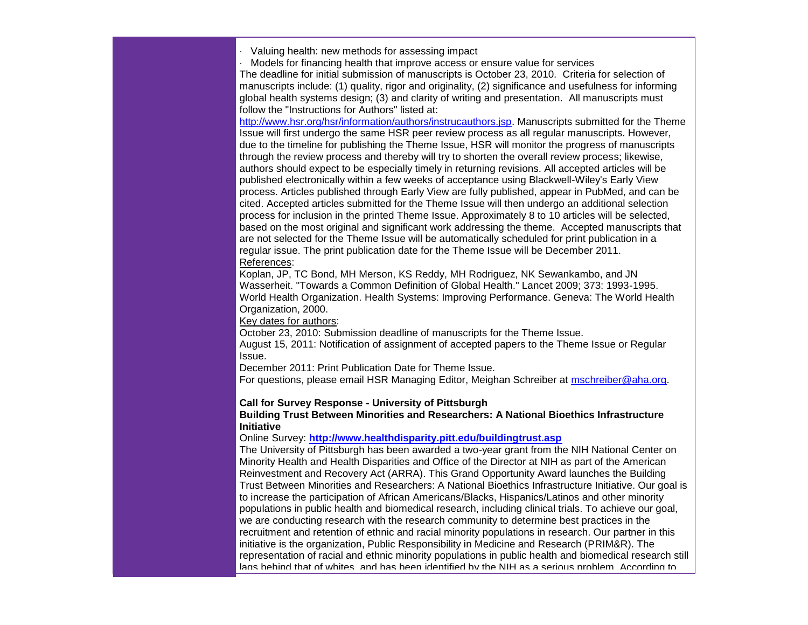· Valuing health: new methods for assessing impact

· Models for financing health that improve access or ensure value for services

The deadline for initial submission of manuscripts is October 23, 2010. Criteria for selection of manuscripts include: (1) quality, rigor and originality, (2) significance and usefulness for informing global health systems design; (3) and clarity of writing and presentation. All manuscripts must follow the "Instructions for Authors" listed at:

[http://www.hsr.org/hsr/information/authors/instrucauthors.jsp.](http://r20.rs6.net/tn.jsp?et=1103488072567&s=0&e=001ZbRH4lRBQsHkRXlMbhMtfHu7egiIyKAAJ7ixXSilcuYnfqDHWXv12tCFvQql9ipw4L3PEb8VTwssEtgDexiaosvyCJFBHpI4kJ4jFNi9SD0PLrC0XpYbSdf8Nsw-fG5hH6mx2a1F4GI4RB__2ANSMXePZz_Z6UkDWxXgevV3CWs=) Manuscripts submitted for the Theme Issue will first undergo the same HSR peer review process as all regular manuscripts. However, due to the timeline for publishing the Theme Issue, HSR will monitor the progress of manuscripts through the review process and thereby will try to shorten the overall review process; likewise, authors should expect to be especially timely in returning revisions. All accepted articles will be published electronically within a few weeks of acceptance using Blackwell-Wiley's Early View process. Articles published through Early View are fully published, appear in PubMed, and can be cited. Accepted articles submitted for the Theme Issue will then undergo an additional selection process for inclusion in the printed Theme Issue. Approximately 8 to 10 articles will be selected, based on the most original and significant work addressing the theme. Accepted manuscripts that are not selected for the Theme Issue will be automatically scheduled for print publication in a regular issue. The print publication date for the Theme Issue will be December 2011. References:

Koplan, JP, TC Bond, MH Merson, KS Reddy, MH Rodriguez, NK Sewankambo, and JN Wasserheit. "Towards a Common Definition of Global Health." Lancet 2009; 373: 1993-1995. World Health Organization. Health Systems: Improving Performance. Geneva: The World Health Organization, 2000.

Key dates for authors:

October 23, 2010: Submission deadline of manuscripts for the Theme Issue.

August 15, 2011: Notification of assignment of accepted papers to the Theme Issue or Regular Issue.

December 2011: Print Publication Date for Theme Issue.

For questions, please email HSR Managing Editor, Meighan Schreiber at [mschreiber@aha.org.](mailto:mschreiber@aha.org)

#### **Call for Survey Response - University of Pittsburgh**

#### **Building Trust Between Minorities and Researchers: A National Bioethics Infrastructure Initiative**

Online Survey: **[http://www.healthdisparity.pitt.edu/buildingtrust.asp](http://r20.rs6.net/tn.jsp?et=1103488072567&s=0&e=001ZbRH4lRBQsHkRXlMbhMtfHu7egiIyKAAJ7ixXSilcuYnfqDHWXv12tCFvQql9ipw4L3PEb8VTwvcG_nA2D406ybnKAqHzRp1C2BaoxHo3h72IIFhmbQVOHeFH3U8HwY1XrSPtUSrBD_jxgMDU6UjiQ==)**

The University of Pittsburgh has been awarded a two-year grant from the NIH National Center on Minority Health and Health Disparities and Office of the Director at NIH as part of the American Reinvestment and Recovery Act (ARRA). This Grand Opportunity Award launches the Building Trust Between Minorities and Researchers: A National Bioethics Infrastructure Initiative. Our goal is to increase the participation of African Americans/Blacks, Hispanics/Latinos and other minority populations in public health and biomedical research, including clinical trials. To achieve our goal, we are conducting research with the research community to determine best practices in the recruitment and retention of ethnic and racial minority populations in research. Our partner in this initiative is the organization, Public Responsibility in Medicine and Research (PRIM&R). The representation of racial and ethnic minority populations in public health and biomedical research still lags behind that of whites, and has been identified by the NIH as a serious problem. According to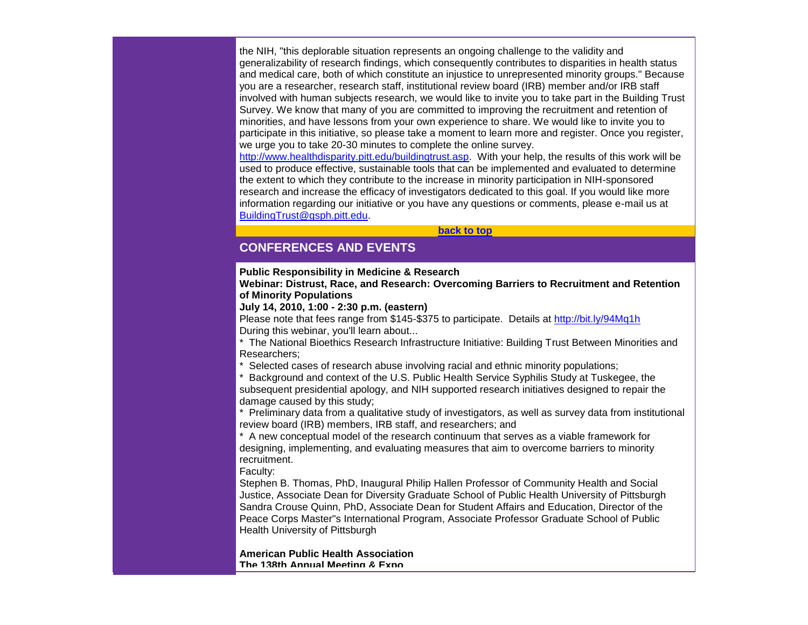the NIH, "this deplorable situation represents an ongoing challenge to the validity and generalizability of research findings, which consequently contributes to disparities in health status and medical care, both of which constitute an injustice to unrepresented minority groups." Because you are a researcher, research staff, institutional review board (IRB) member and/or IRB staff involved with human subjects research, we would like to invite you to take part in the Building Trust Survey. We know that many of you are committed to improving the recruitment and retention of minorities, and have lessons from your own experience to share. We would like to invite you to participate in this initiative, so please take a moment to learn more and register. Once you register, we urge you to take 20-30 minutes to complete the online survey.

[http://www.healthdisparity.pitt.edu/buildingtrust.asp.](http://r20.rs6.net/tn.jsp?et=1103488072567&s=0&e=001ZbRH4lRBQsHkRXlMbhMtfHu7egiIyKAAJ7ixXSilcuYnfqDHWXv12tCFvQql9ipw4L3PEb8VTwvcG_nA2D406ybnKAqHzRp1C2BaoxHo3h72IIFhmbQVOHeFH3U8HwY1XrSPtUSrBD_jxgMDU6UjiQ==) With your help, the results of this work will be used to produce effective, sustainable tools that can be implemented and evaluated to determine the extent to which they contribute to the increase in minority participation in NIH-sponsored research and increase the efficacy of investigators dedicated to this goal. If you would like more information regarding our initiative or you have any questions or comments, please e-mail us at [BuildingTrust@gsph.pitt.edu.](mailto:BuildingTrust@gsph.pitt.edu)

#### **[back to top](#page-0-0)**

# <span id="page-20-0"></span>**CONFERENCES AND EVENTS**

#### **Public Responsibility in Medicine & Research**

**Webinar: Distrust, Race, and Research: Overcoming Barriers to Recruitment and Retention of Minority Populations**

**July 14, 2010, 1:00 - 2:30 p.m. (eastern)**

Please note that fees range from \$145-\$375 to participate. Details at [http://bit.ly/94Mq1h](http://r20.rs6.net/tn.jsp?et=1103488072567&s=0&e=001ZbRH4lRBQsHkRXlMbhMtfHu7egiIyKAAJ7ixXSilcuYnfqDHWXv12tCFvQql9ipwhhfd6jLiqj-g0qjvpaGPhBEl8hwQ4OETYmu-op2PgC0=) During this webinar, you'll learn about...

\* The National Bioethics Research Infrastructure Initiative: Building Trust Between Minorities and Researchers;

Selected cases of research abuse involving racial and ethnic minority populations;

\* Background and context of the U.S. Public Health Service Syphilis Study at Tuskegee, the subsequent presidential apology, and NIH supported research initiatives designed to repair the damage caused by this study;

\* Preliminary data from a qualitative study of investigators, as well as survey data from institutional review board (IRB) members, IRB staff, and researchers; and

\* A new conceptual model of the research continuum that serves as a viable framework for designing, implementing, and evaluating measures that aim to overcome barriers to minority recruitment.

#### Faculty:

Stephen B. Thomas, PhD, Inaugural Philip Hallen Professor of Community Health and Social Justice, Associate Dean for Diversity Graduate School of Public Health University of Pittsburgh Sandra Crouse Quinn, PhD, Associate Dean for Student Affairs and Education, Director of the Peace Corps Master"s International Program, Associate Professor Graduate School of Public Health University of Pittsburgh

**American Public Health Association The 138th Annual Meeting & Expo**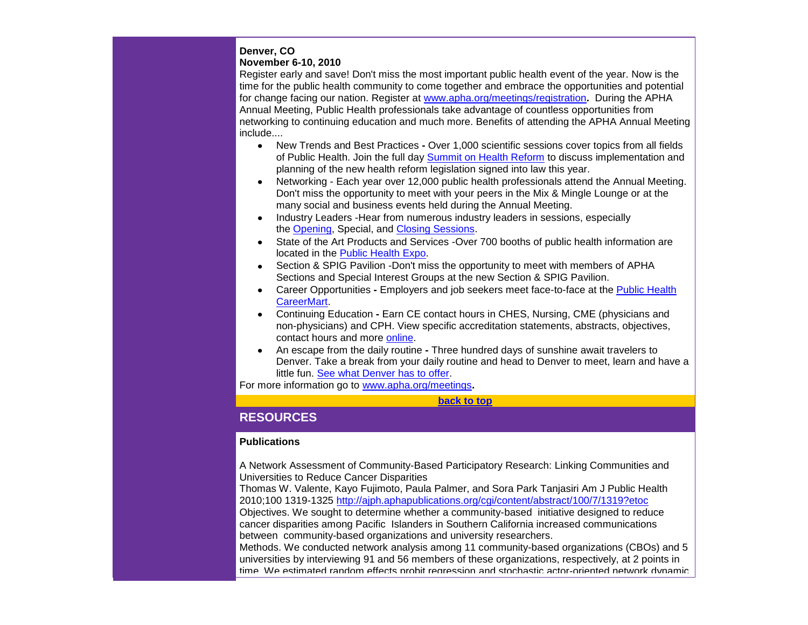## **Denver, CO**

## **November 6-10, 2010**

Register early and save! Don't miss the most important public health event of the year. Now is the time for the public health community to come together and embrace the opportunities and potential for change facing our nation. Register at [www.apha.org/meetings/registration](http://r20.rs6.net/tn.jsp?et=1103488072567&s=0&e=001ZbRH4lRBQsHkRXlMbhMtfHu7egiIyKAAJ7ixXSilcuYnfqDHWXv12tCFvQql9ipwSEJQMdsBAI3F9Jzkkz3W4Rrw0d_XIJB0__8IGFhFb2FNGElP_uac0qS6BVLoXx-n3IPpU-6mRS4GwJqIo7DD-bCsCGZ9zCi3gKzPIWHVmUw=)**.** During the APHA Annual Meeting, Public Health professionals take advantage of countless opportunities from networking to continuing education and much more. Benefits of attending the APHA Annual Meeting include....

- $\bullet$ New Trends and Best Practices **-** Over 1,000 scientific sessions cover topics from all fields of Public Health. Join the full day [Summit on Health Reform](http://r20.rs6.net/tn.jsp?et=1103488072567&s=0&e=001ZbRH4lRBQsHkRXlMbhMtfHu7egiIyKAAJ7ixXSilcuYnfqDHWXv12tCFvQql9ipwSEJQMdsBAI3F9Jzkkz3W4Rrw0d_XIJB0__8IGFhFb2GRk2GXorezOG50cfINE7_cprt9mWJl2fLU8HsEsIpPCqlGhxv4AkoRuVhmpxOZdkg=) to discuss implementation and planning of the new health reform legislation signed into law this year.
- Networking Each year over 12,000 public health professionals attend the Annual Meeting. Don't miss the opportunity to meet with your peers in the Mix & Mingle Lounge or at the many social and business events held during the Annual Meeting.
- Industry Leaders -Hear from numerous industry leaders in sessions, especially the [Opening,](http://r20.rs6.net/tn.jsp?et=1103488072567&s=0&e=001ZbRH4lRBQsHkRXlMbhMtfHu7egiIyKAAJ7ixXSilcuYnfqDHWXv12tCFvQql9ipwSEJQMdsBAI3F9Jzkkz3W4Rrw0d_XIJB0__8IGFhFb2HRJ62Ty44msrwAFPbGUsPWTPQx1uXdS10ALbMyRGabZDarHWVu1AIog6QxOrJJqdU=) Special, and [Closing Sessions.](http://r20.rs6.net/tn.jsp?et=1103488072567&s=0&e=001ZbRH4lRBQsHkRXlMbhMtfHu7egiIyKAAJ7ixXSilcuYnfqDHWXv12tCFvQql9ipwSEJQMdsBAI3F9Jzkkz3W4Rrw0d_XIJB0__8IGFhFb2EWAxH72ZF9YUt0QyWYy2wAeE9RtdbP1QrWUKnzMNRA_j-yLzA68PNM2xCrkbIQRhA=)
- State of the Art Products and Services -Over 700 booths of public health information are located in the [Public Health](http://r20.rs6.net/tn.jsp?et=1103488072567&s=0&e=001ZbRH4lRBQsHkRXlMbhMtfHu7egiIyKAAJ7ixXSilcuYnfqDHWXv12tCFvQql9ipwSEJQMdsBAI3F9Jzkkz3W4Rrw0d_XIJB0__8IGFhFb2F9kopw_K1CEl_4_Q9BZC8E9rmIWjOJIp2sm7ubtg6mDgZDPiUa-fX6sN_8l-dZsz0=) Expo.
- Section & SPIG Pavilion -Don't miss the opportunity to meet with members of APHA Sections and Special Interest Groups at the new Section & SPIG Pavilion.
- Career Opportunities **-** Employers and job seekers meet face-to-face at the [Public Health](http://r20.rs6.net/tn.jsp?et=1103488072567&s=0&e=001ZbRH4lRBQsHkRXlMbhMtfHu7egiIyKAAJ7ixXSilcuYnfqDHWXv12tCFvQql9ipwSEJQMdsBAI3F9Jzkkz3W4Rrw0d_XIJB0__8IGFhFb2GDmulXHsvWOOQ-hy8CXRy92dho2rRv1Ld7Do8RowzULG6dQYfrKg49U0a5VtxWfpA=)  [CareerMart.](http://r20.rs6.net/tn.jsp?et=1103488072567&s=0&e=001ZbRH4lRBQsHkRXlMbhMtfHu7egiIyKAAJ7ixXSilcuYnfqDHWXv12tCFvQql9ipwSEJQMdsBAI3F9Jzkkz3W4Rrw0d_XIJB0__8IGFhFb2GDmulXHsvWOOQ-hy8CXRy92dho2rRv1Ld7Do8RowzULG6dQYfrKg49U0a5VtxWfpA=)
- Continuing Education **-** Earn CE contact hours in CHES, Nursing, CME (physicians and non-physicians) and CPH. View specific accreditation statements, abstracts, objectives, contact hours and more [online.](http://r20.rs6.net/tn.jsp?et=1103488072567&s=0&e=001ZbRH4lRBQsHkRXlMbhMtfHu7egiIyKAAJ7ixXSilcuYnfqDHWXv12tCFvQql9ipwSEJQMdsBAI3F9Jzkkz3W4Rrw0d_XIJB0__8IGFhFb2HtZTPknhHFUgi1IsC5HQ86rN2fD4ob8qFqaiZzXa-DvQFJOlpcTSWqA4D0m4ltdM4=)
- An escape from the daily routine **-** Three hundred days of sunshine await travelers to Denver. Take a break from your daily routine and head to Denver to meet, learn and have a little fun. [See what Denver has to offer.](http://r20.rs6.net/tn.jsp?et=1103488072567&s=0&e=001ZbRH4lRBQsHkRXlMbhMtfHu7egiIyKAAJ7ixXSilcuYnfqDHWXv12tCFvQql9ipwSEJQMdsBAI3F9Jzkkz3W4Rrw0d_XIJB0__8IGFhFb2GUe3Z0rTpu9rev7zP9WZFNELdEEKcAu7HFbvyVz_0wBx-3VztUkQlkL8cT1CD1yAo=)

For more information go to [www.apha.org/meetings](http://r20.rs6.net/tn.jsp?et=1103488072567&s=0&e=001ZbRH4lRBQsHkRXlMbhMtfHu7egiIyKAAJ7ixXSilcuYnfqDHWXv12tCFvQql9ipwSEJQMdsBAI3F9Jzkkz3W4Rrw0d_XIJB0__8IGFhFb2HP7yplOsI67P7-5R0qgBo2Sty3ICK2AadNWA_luEGrpZa3N7QZwWRrc3QLQJ-X9Gg=)**.**

**[back to top](#page-0-0)**

# <span id="page-21-0"></span>**RESOURCES**

# **Publications**

A Network Assessment of Community-Based Participatory Research: Linking Communities and Universities to Reduce Cancer Disparities

Thomas W. Valente, Kayo Fujimoto, Paula Palmer, and Sora Park Tanjasiri Am J Public Health 2010;100 1319-1325 [http://ajph.aphapublications.org/cgi/content/abstract/100/7/1319?etoc](http://r20.rs6.net/tn.jsp?et=1103488072567&s=0&e=001ZbRH4lRBQsHkRXlMbhMtfHu7egiIyKAAJ7ixXSilcuYnfqDHWXv12tCFvQql9ipwmi7TXQKkkvYhAoBgrVeWM5RUV3EkTiwegg-b2b5aXWGCAk0eRE6aNR_ir66RCQbqK5rjgCwZZhRLfj0ZH2WEuyn3iNOhvYJYQ96LIwpFuub6vnBUvKOT0S-XiDERsX4j) Objectives. We sought to determine whether a community-based initiative designed to reduce cancer disparities among Pacific Islanders in Southern California increased communications between community-based organizations and university researchers.

Methods. We conducted network analysis among 11 community-based organizations (CBOs) and 5 universities by interviewing 91 and 56 members of these organizations, respectively, at 2 points in time. We estimated random effects probit regression and stochastic actor-oriented network dynamic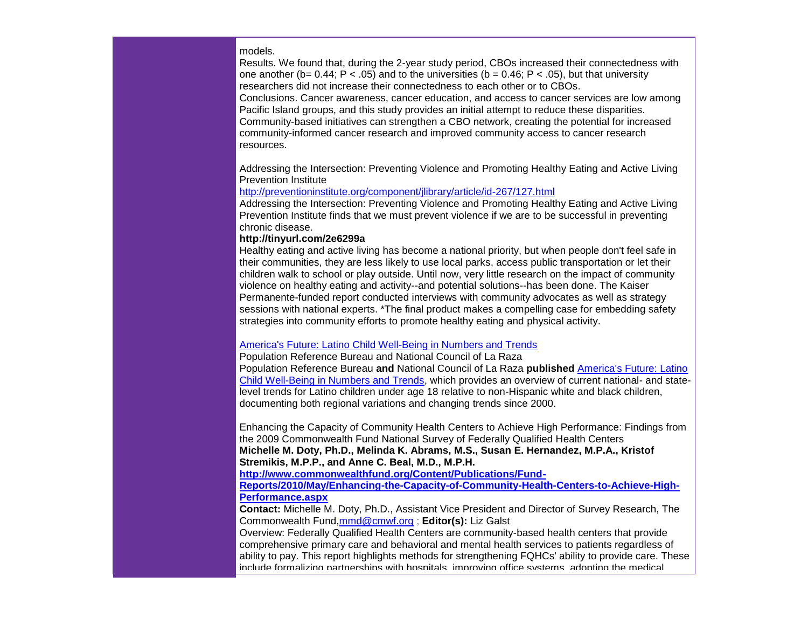#### models.

Results. We found that, during the 2-year study period, CBOs increased their connectedness with one another (b=  $0.44$ ; P < .05) and to the universities (b =  $0.46$ ; P < .05), but that university researchers did not increase their connectedness to each other or to CBOs. Conclusions. Cancer awareness, cancer education, and access to cancer services are low among Pacific Island groups, and this study provides an initial attempt to reduce these disparities. Community-based initiatives can strengthen a CBO network, creating the potential for increased community-informed cancer research and improved community access to cancer research resources.

Addressing the Intersection: Preventing Violence and Promoting Healthy Eating and Active Living Prevention Institute

#### [http://preventioninstitute.org/component/jlibrary/article/id-267/127.html](http://r20.rs6.net/tn.jsp?et=1103488072567&s=0&e=001ZbRH4lRBQsHkRXlMbhMtfHu7egiIyKAAJ7ixXSilcuYnfqDHWXv12tCFvQql9ipwIYfWf2SS1u-Kim_xnxWj326WQcck0mqRJOpiv7e13l4pzYi6jUdXN7pBYXoo75vsIflHGhoWIPqpW3BjfIj1P8hjjIeVbjExWE9pDdd3I5eF-6G8t4dwgFCXaNftbbBD)

Addressing the Intersection: Preventing Violence and Promoting Healthy Eating and Active Living Prevention Institute finds that we must prevent violence if we are to be successful in preventing chronic disease.

#### **[http://tinyurl.com/2e6299a](http://r20.rs6.net/tn.jsp?et=1103488072567&s=0&e=001ZbRH4lRBQsHkRXlMbhMtfHu7egiIyKAAJ7ixXSilcuYnfqDHWXv12tCFvQql9ipwR64JHBVqvaFDVdbzkwMAu3WUOiYV1zZ5m_Y66muBNhj9oMVx9KUjzmjVlf8hDCMqYjVHWWieOp-cmtRgdT_Ucwrm1q_c4UUe8jOLX894T66TE0rQCCs-oTAK75cOHhiAwGZGdq1orPYhiIH09jcLVFPbdNqWUE5F)**

Healthy eating and active living has become a national priority, but when people don't feel safe in their communities, they are less likely to use local parks, access public transportation or let their children walk to school or play outside. Until now, very little research on the impact of community violence on healthy eating and activity--and potential solutions--has been done. The Kaiser Permanente-funded report conducted interviews with community advocates as well as strategy sessions with national experts. \*The final product makes a compelling case for embedding safety strategies into community efforts to promote healthy eating and physical activity.

#### [America's Future: Latino Child Well-Being in Numbers and Trends](http://r20.rs6.net/tn.jsp?et=1103488072567&s=0&e=001ZbRH4lRBQsHkRXlMbhMtfHu7egiIyKAAJ7ixXSilcuYnfqDHWXv12tCFvQql9ipw4L3PEb8VTwv_YZUH6ndduAvX8MLAsjpXVRMxY0gO3Azoeh6XmCbHJNVD9QO3w93YtU2K2KgI3IgiivKOP0wWirl-Wp_4dUPPf5xw5tTz6Tt3WfNuZEHotgWdSK_yI3MCPO6mHs092la6BbHCPUz4ZqOiSIer9ALJ)

Population Reference Bureau and National Council of La Raza Population Reference Bureau **and** National Council of La Raza **published** [America's Future: Latino](http://r20.rs6.net/tn.jsp?et=1103488072567&s=0&e=001ZbRH4lRBQsHkRXlMbhMtfHu7egiIyKAAJ7ixXSilcuYnfqDHWXv12tCFvQql9ipw4L3PEb8VTwv_YZUH6ndduAvX8MLAsjpXVRMxY0gO3Azoeh6XmCbHJNVD9QO3w93YtU2K2KgI3IgiivKOP0wWirl-Wp_4dUPPf5xw5tTz6Tt3WfNuZEHotgWdSK_yI3MCPO6mHs092la6BbHCPUz4ZqOiSIer9ALJ)  [Child Well-Being in Numbers and Trends,](http://r20.rs6.net/tn.jsp?et=1103488072567&s=0&e=001ZbRH4lRBQsHkRXlMbhMtfHu7egiIyKAAJ7ixXSilcuYnfqDHWXv12tCFvQql9ipw4L3PEb8VTwv_YZUH6ndduAvX8MLAsjpXVRMxY0gO3Azoeh6XmCbHJNVD9QO3w93YtU2K2KgI3IgiivKOP0wWirl-Wp_4dUPPf5xw5tTz6Tt3WfNuZEHotgWdSK_yI3MCPO6mHs092la6BbHCPUz4ZqOiSIer9ALJ) which provides an overview of current national- and statelevel trends for Latino children under age 18 relative to non-Hispanic white and black children, documenting both regional variations and changing trends since 2000.

Enhancing the Capacity of Community Health Centers to Achieve High Performance: Findings from the 2009 Commonwealth Fund National Survey of Federally Qualified Health Centers **Michelle M. Doty, Ph.D., Melinda K. Abrams, M.S., Susan E. Hernandez, M.P.A., Kristof Stremikis, M.P.P., and Anne C. Beal, M.D., M.P.H.** 

**[http://www.commonwealthfund.org/Content/Publications/Fund-](http://r20.rs6.net/tn.jsp?et=1103488072567&s=0&e=001ZbRH4lRBQsHkRXlMbhMtfHu7egiIyKAAJ7ixXSilcuYnfqDHWXv12tCFvQql9ipw4L3PEb8VTwsAjkGzAla2ehIqlKOTgPAhUgYpHIwELfRqertuLA-SRbZ6A4PCAoFhY4y5-wt65iUIjJ2-8Imj3jJNuyZ1Pqqy1J1-vMkpv1yxyjGY0ztQJkj3tPkxwKSouvfzpEO5RtsYIBC1zDirlsT63YlykvpqBZx2IU0y7AmADKuRruZQCjtBjT8pZcJ5DwaArVt5K5ITPnxO0i0DYg3_4Zu-vWL-b8ErU7zkU9nTAQK3v5dB_Q==)**

**[Reports/2010/May/Enhancing-the-Capacity-of-Community-Health-Centers-to-Achieve-High-](http://r20.rs6.net/tn.jsp?et=1103488072567&s=0&e=001ZbRH4lRBQsHkRXlMbhMtfHu7egiIyKAAJ7ixXSilcuYnfqDHWXv12tCFvQql9ipw4L3PEb8VTwsAjkGzAla2ehIqlKOTgPAhUgYpHIwELfRqertuLA-SRbZ6A4PCAoFhY4y5-wt65iUIjJ2-8Imj3jJNuyZ1Pqqy1J1-vMkpv1yxyjGY0ztQJkj3tPkxwKSouvfzpEO5RtsYIBC1zDirlsT63YlykvpqBZx2IU0y7AmADKuRruZQCjtBjT8pZcJ5DwaArVt5K5ITPnxO0i0DYg3_4Zu-vWL-b8ErU7zkU9nTAQK3v5dB_Q==)[Performance.aspx](http://r20.rs6.net/tn.jsp?et=1103488072567&s=0&e=001ZbRH4lRBQsHkRXlMbhMtfHu7egiIyKAAJ7ixXSilcuYnfqDHWXv12tCFvQql9ipw4L3PEb8VTwsAjkGzAla2ehIqlKOTgPAhUgYpHIwELfRqertuLA-SRbZ6A4PCAoFhY4y5-wt65iUIjJ2-8Imj3jJNuyZ1Pqqy1J1-vMkpv1yxyjGY0ztQJkj3tPkxwKSouvfzpEO5RtsYIBC1zDirlsT63YlykvpqBZx2IU0y7AmADKuRruZQCjtBjT8pZcJ5DwaArVt5K5ITPnxO0i0DYg3_4Zu-vWL-b8ErU7zkU9nTAQK3v5dB_Q==)**

**Contact:** Michelle M. Doty, Ph.D., Assistant Vice President and Director of Survey Research, The Commonwealth Fund[,mmd@cmwf.org](mailto:mmd@cmwf.org) ; **Editor(s):** Liz Galst

Overview: Federally Qualified Health Centers are community-based health centers that provide comprehensive primary care and behavioral and mental health services to patients regardless of ability to pay. This report highlights methods for strengthening FQHCs' ability to provide care. These include formalizing partnerships with hospitals, improving office systems, adopting the medical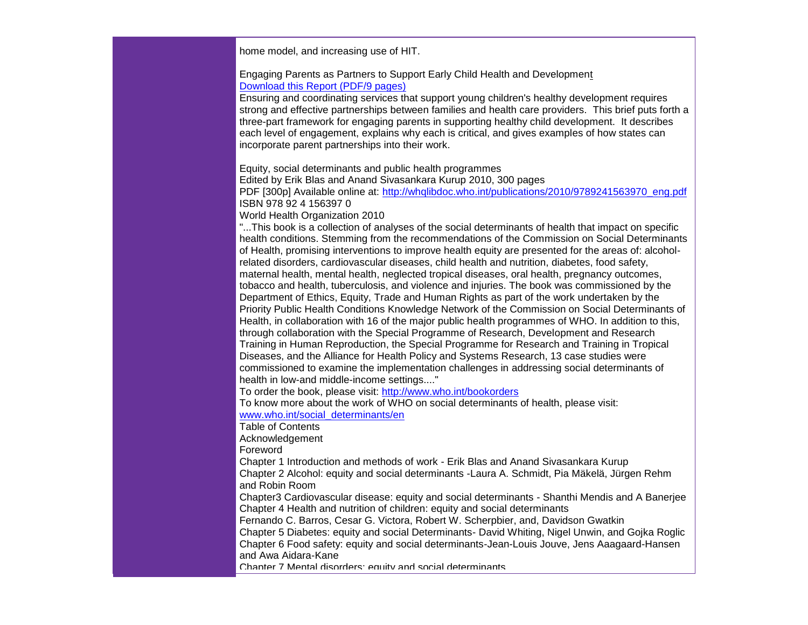home model, and increasing use of HIT.

Engaging Parents as Partners to Support Early Child Health and Development [Download this Report \(PDF/9 pages\)](http://r20.rs6.net/tn.jsp?et=1103488072567&s=0&e=001ZbRH4lRBQsHkRXlMbhMtfHu7egiIyKAAJ7ixXSilcuYnfqDHWXv12tCFvQql9ipwSeXKjDWQtnKA5NrRJrXLxkRHy8x4MPXk-fw8-PFoFk5-24Vs9BRMgKJpC-nN3zArait04ElDUBdZQToijkP-dPsBWQMDWLrIfbyfGIPRVH3OwE-CTBR4FwgMD3OJLrJhdjbu0EEldXGRJRzjCTUHe-lEfK2896Z3gzMbLsoBAhzw0k9epeX3t0oXNPOr8B5V04yxDfvoAEE1AkDlMx68bUziTB5A8ws7fKfVadIpY2n0dXiDFyRWWfx_hwQZCDxXzjY7RAhqm6g=)

Ensuring and coordinating services that support young children's healthy development requires strong and effective partnerships between families and health care providers. This brief puts forth a three-part framework for engaging parents in supporting healthy child development. It describes each level of engagement, explains why each is critical, and gives examples of how states can incorporate parent partnerships into their work.

Equity, social determinants and public health programmes

Edited by Erik Blas and Anand Sivasankara Kurup 2010, 300 pages

PDF [300p] Available online at: [http://whqlibdoc.who.int/publications/2010/9789241563970\\_eng.pdf](http://r20.rs6.net/tn.jsp?et=1103488072567&s=0&e=001ZbRH4lRBQsHkRXlMbhMtfHu7egiIyKAAJ7ixXSilcuYnfqDHWXv12tCFvQql9ipwVEuVULJwusoX2VYU2UHjI5Kr39LYZHB_gRjIPCA7qQTEvshYskwChnw-U96eMzr3KMxqMvvolRu8pmHctypWTEA8QLiGBQI8KHpeTkHOVfo=) ISBN 978 92 4 156397 0

World Health Organization 2010

"...This book is a collection of analyses of the social determinants of health that impact on specific health conditions. Stemming from the recommendations of the Commission on Social Determinants of Health, promising interventions to improve health equity are presented for the areas of: alcoholrelated disorders, cardiovascular diseases, child health and nutrition, diabetes, food safety, maternal health, mental health, neglected tropical diseases, oral health, pregnancy outcomes, tobacco and health, tuberculosis, and violence and injuries. The book was commissioned by the Department of Ethics, Equity, Trade and Human Rights as part of the work undertaken by the Priority Public Health Conditions Knowledge Network of the Commission on Social Determinants of Health, in collaboration with 16 of the major public health programmes of WHO. In addition to this, through collaboration with the Special Programme of Research, Development and Research Training in Human Reproduction, the Special Programme for Research and Training in Tropical Diseases, and the Alliance for Health Policy and Systems Research, 13 case studies were commissioned to examine the implementation challenges in addressing social determinants of health in low-and middle-income settings...."

To order the book, please visit: [http://www.who.int/bookorders](http://r20.rs6.net/tn.jsp?et=1103488072567&s=0&e=001ZbRH4lRBQsHkRXlMbhMtfHu7egiIyKAAJ7ixXSilcuYnfqDHWXv12tCFvQql9ipw4L3PEb8VTwvK0XtauZ3A1iD0DHRkM9_z0jhFq1Kf5QkzFRZeE-VYwg==)

To know more about the work of WHO on social determinants of health, please visit: [www.who.int/social\\_determinants/en](http://r20.rs6.net/tn.jsp?et=1103488072567&s=0&e=001ZbRH4lRBQsHkRXlMbhMtfHu7egiIyKAAJ7ixXSilcuYnfqDHWXv12tCFvQql9ipw4L3PEb8VTwvK0XtauZ3A1jbsgvQzmVcHLTCCM4IOB9fDyT1zOkQmBawf_2jZowDkje-g-N-bQnc=)

Table of Contents

Acknowledgement

Foreword

Chapter 1 Introduction and methods of work - Erik Blas and Anand Sivasankara Kurup Chapter 2 Alcohol: equity and social determinants -Laura A. Schmidt, Pia Mäkelä, Jürgen Rehm and Robin Room

Chapter3 Cardiovascular disease: equity and social determinants - Shanthi Mendis and A Banerjee Chapter 4 Health and nutrition of children: equity and social determinants

Fernando C. Barros, Cesar G. Victora, Robert W. Scherpbier, and, Davidson Gwatkin

Chapter 5 Diabetes: equity and social Determinants- David Whiting, Nigel Unwin, and Gojka Roglic Chapter 6 Food safety: equity and social determinants-Jean-Louis Jouve, Jens Aaagaard-Hansen and Awa Aidara-Kane

Chapter 7 Mental disorders: equity and social determinants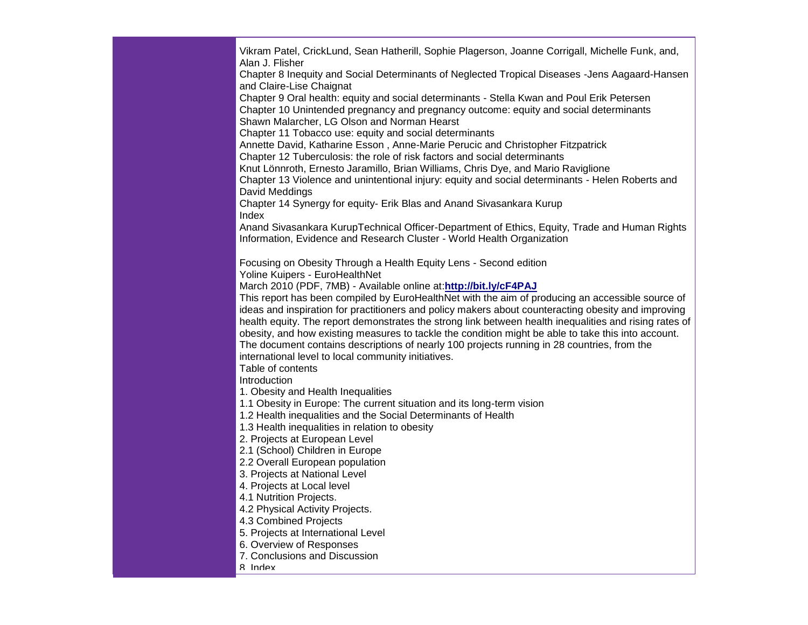Vikram Patel, CrickLund, Sean Hatherill, Sophie Plagerson, Joanne Corrigall, Michelle Funk, and, Alan J. Flisher Chapter 8 Inequity and Social Determinants of Neglected Tropical Diseases -Jens Aagaard-Hansen and Claire-Lise Chaignat Chapter 9 Oral health: equity and social determinants - Stella Kwan and Poul Erik Petersen Chapter 10 Unintended pregnancy and pregnancy outcome: equity and social determinants Shawn Malarcher, LG Olson and Norman Hearst Chapter 11 Tobacco use: equity and social determinants Annette David, Katharine Esson , Anne-Marie Perucic and Christopher Fitzpatrick Chapter 12 Tuberculosis: the role of risk factors and social determinants Knut Lönnroth, Ernesto Jaramillo, Brian Williams, Chris Dye, and Mario Raviglione Chapter 13 Violence and unintentional injury: equity and social determinants - Helen Roberts and David Meddings Chapter 14 Synergy for equity- Erik Blas and Anand Sivasankara Kurup Index Anand Sivasankara KurupTechnical Officer-Department of Ethics, Equity, Trade and Human Rights Information, Evidence and Research Cluster - World Health Organization Focusing on Obesity Through a Health Equity Lens - Second edition Yoline Kuipers - EuroHealthNet March 2010 (PDF, 7MB) - Available online at:**[http://bit.ly/cF4PAJ](http://r20.rs6.net/tn.jsp?et=1103488072567&s=0&e=001ZbRH4lRBQsHkRXlMbhMtfHu7egiIyKAAJ7ixXSilcuYnfqDHWXv12tCFvQql9ipwhhfd6jLiqj93P2Ja1KEXUiOhREvYdEf-vtK0GRZA8xI=)** This report has been compiled by EuroHealthNet with the aim of producing an accessible source of ideas and inspiration for practitioners and policy makers about counteracting obesity and improving health equity. The report demonstrates the strong link between health inequalities and rising rates of obesity, and how existing measures to tackle the condition might be able to take this into account. The document contains descriptions of nearly 100 projects running in 28 countries, from the international level to local community initiatives. Table of contents Introduction 1. Obesity and Health Inequalities 1.1 Obesity in Europe: The current situation and its long-term vision 1.2 Health inequalities and the Social Determinants of Health 1.3 Health inequalities in relation to obesity 2. Projects at European Level 2.1 (School) Children in Europe 2.2 Overall European population 3. Projects at National Level 4. Projects at Local level 4.1 Nutrition Projects. 4.2 Physical Activity Projects. 4.3 Combined Projects 5. Projects at International Level 6. Overview of Responses 7. Conclusions and Discussion 8. Index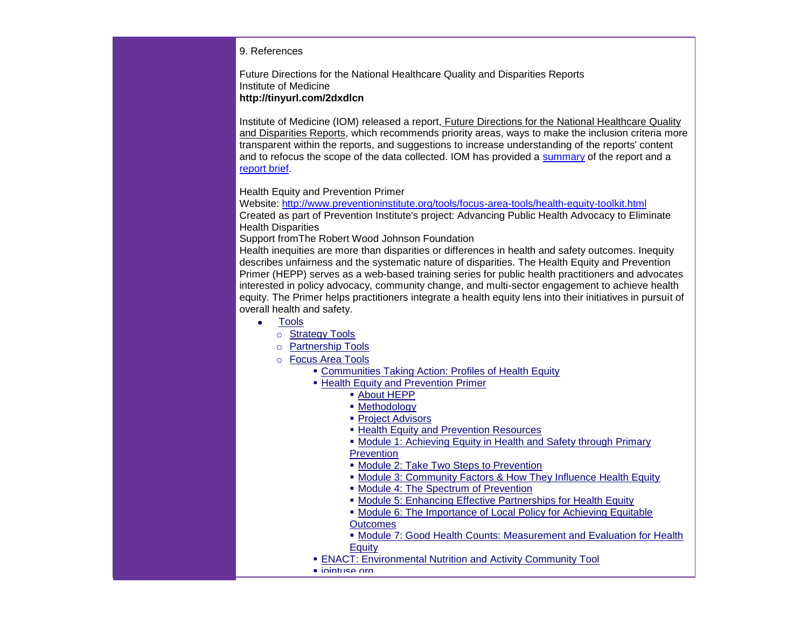#### 9. References

Future Directions for the National Healthcare Quality and Disparities Reports Institute of Medicine **[http://tinyurl.com/2dxdlcn](http://r20.rs6.net/tn.jsp?et=1103488072567&s=0&e=001ZbRH4lRBQsHkRXlMbhMtfHu7egiIyKAAJ7ixXSilcuYnfqDHWXv12tCFvQql9ipw4L3PEb8VTwv2GmIz8li49__S0UUjULqNEY4IgqYF5KU15AbxO0elymugigieRh4J-MczTYv3PunFxPOGlWH99EIPgrufpGdbPpnCHUu0uBBH44M3yP9eQk7KLER6rn5yJtpKRqDZD7VNEy6ZkGK-eEhn4h2cmXXSZ_m2tcfr70CsRa-MJBDEPcwfR7pfcWym875iRikd90vrboJQDXwcHDAR7GCmhqCRLG8En119X_I5CW1hTEbXSdV4o824cVpFSaN0f_BgDewuw5Na1KG_z6dSZsEuIi2EBmRa0GATu_EBi28s6WtnC9ZjAnhLqCW7X_dOfaysFKnqRFE39Jf6TwtkFDBSlp_DaFHTWPBbsPM=)**

Institute of Medicine (IOM) released a report, Future Directions for the National Healthcare Quality and Disparities Reports, which recommends priority areas, ways to make the inclusion criteria more transparent within the reports, and suggestions to increase understanding of the reports' content and to refocus the scope of the data collected. IOM has provided a [summary](http://r20.rs6.net/tn.jsp?et=1103488072567&s=0&e=001ZbRH4lRBQsHkRXlMbhMtfHu7egiIyKAAJ7ixXSilcuYnfqDHWXv12tCFvQql9ipw4L3PEb8VTwsfl8T8Rtc9uvsGJHGHudrvPlJxs2T7y2hyR3wRdaqHW3YpDA4D5GYNsds6FSlwSO1CZ4wFWcfLcksM5e93bNYcfawsYmjrJNefe6NgShunRw==) of the report and a [report brief.](http://r20.rs6.net/tn.jsp?et=1103488072567&s=0&e=001ZbRH4lRBQsHkRXlMbhMtfHu7egiIyKAAJ7ixXSilcuYnfqDHWXv12tCFvQql9ipw4L3PEb8VTwv2GmIz8li49__S0UUjULqNEY4IgqYF5KU15AbxO0elymugigieRh4J-MczTYv3PunFxPOGlWH99EIPgrufpGdbPpnCHUu0uBBH44M3yP9eQk7KLER6rn5yJtpKRqDZD7VNEy6ZkGK-eEhn4h2cmXXSZ_m2tcfr70CsRa-MJBDEPcwfR7pfcWym875iRikd90vrboJQDXwcHDAR7GCmhqCRLG8En119X_I5CW1hTEbXSdV4o824cVpFSaN0f_BgDewuw5Na1KG_z6dSZsEuIi2EBmRa0GATu_EBi28s6WtnC9ZjAnhLqCW7X_dOfaysFKnqRFE39Jf6TwtkFDBSlp_DaFHTWPBbsPM=)

Health Equity and Prevention Primer

Website: [http://www.preventioninstitute.org/tools/focus-area-tools/health-equity-toolkit.html](http://r20.rs6.net/tn.jsp?et=1103488072567&s=0&e=001ZbRH4lRBQsHkRXlMbhMtfHu7egiIyKAAJ7ixXSilcuYnfqDHWXv12tCFvQql9ipw4L3PEb8VTwtN8jqi9-Ib_1QUTewzLO_d16oqa5vhD0huK_aRI5WX2lj5jeKC_oz8lFY2tLgCI32QNhSwmh73M2YkU7CaauU_oxC1gyqySSzkgtGE6sdCx8LpSZK1NbsqalkAUTMsVyk=) Created as part of Prevention Institute's project: Advancing Public Health Advocacy to Eliminate Health Disparities

Support fromThe Robert Wood Johnson Foundation

Health inequities are more than disparities or differences in health and safety outcomes. Inequity describes unfairness and the systematic nature of disparities. The Health Equity and Prevention Primer (HEPP) serves as a web-based training series for public health practitioners and advocates interested in policy advocacy, community change, and multi-sector engagement to achieve health equity. The Primer helps practitioners integrate a health equity lens into their initiatives in pursuit of overall health and safety.

- [Tools](http://r20.rs6.net/tn.jsp?et=1103488072567&s=0&e=001ZbRH4lRBQsHkRXlMbhMtfHu7egiIyKAAJ7ixXSilcuYnfqDHWXv12tCFvQql9ipw4L3PEb8VTwtN8jqi9-Ib_1QUTewzLO_d16oqa5vhD0gHrRg3UYtOqZqgRtlPbStNEZX0DHur_XI=)
	- o [Strategy Tools](http://r20.rs6.net/tn.jsp?et=1103488072567&s=0&e=001ZbRH4lRBQsHkRXlMbhMtfHu7egiIyKAAJ7ixXSilcuYnfqDHWXv12tCFvQql9ipw4L3PEb8VTwtN8jqi9-Ib_1QUTewzLO_d16oqa5vhD0huK_aRI5WX2lC0hDbtNUBt_RjkPByX6DVfkH_Sae16JmVUzClqakvVdYUkx3CIg5k=)
	- o [Partnership Tools](http://r20.rs6.net/tn.jsp?et=1103488072567&s=0&e=001ZbRH4lRBQsHkRXlMbhMtfHu7egiIyKAAJ7ixXSilcuYnfqDHWXv12tCFvQql9ipw4L3PEb8VTwtN8jqi9-Ib_1QUTewzLO_d16oqa5vhD0huK_aRI5WX2l_CtlsL2B7cFTvockm4W7oyrARf8HvHhk43_q6OTab_2Uoovo8NeQ0=)
	- o [Focus Area Tools](http://r20.rs6.net/tn.jsp?et=1103488072567&s=0&e=001ZbRH4lRBQsHkRXlMbhMtfHu7egiIyKAAJ7ixXSilcuYnfqDHWXv12tCFvQql9ipw4L3PEb8VTwtN8jqi9-Ib_1QUTewzLO_d16oqa5vhD0huK_aRI5WX2lj5jeKC_oz8lFY2tLgCI311-ReQ_NIlxNiZ-Sfzv5XraWNfp9R_BIA=)
		- [Communities Taking Action: Profiles of Health Equity](http://r20.rs6.net/tn.jsp?et=1103488072567&s=0&e=001ZbRH4lRBQsHkRXlMbhMtfHu7egiIyKAAJ7ixXSilcuYnfqDHWXv12tCFvQql9ipw4L3PEb8VTwtN8jqi9-Ib_1QUTewzLO_d16oqa5vhD0huK_aRI5WX2lj5jeKC_oz8lFY2tLgCI301WYqqksh5iXnCNEW2-ncN1YRd5Bq77KJBzPsPxx4bOmRVfk02UuyboIfxKcElZclWkIqbUc2TbUpfg-Hb52gHhbvZyObh0i8=)
		- **[Health Equity and Prevention Primer](http://r20.rs6.net/tn.jsp?et=1103488072567&s=0&e=001ZbRH4lRBQsHkRXlMbhMtfHu7egiIyKAAJ7ixXSilcuYnfqDHWXv12tCFvQql9ipw4L3PEb8VTwtN8jqi9-Ib_1QUTewzLO_d16oqa5vhD0huK_aRI5WX2lj5jeKC_oz8lFY2tLgCI32QNhSwmh73M2YkU7CaauU_oxC1gyqySSzkgtGE6sdCx8LpSZK1NbsqalkAUTMsVyk=)** 
			- [About HEPP](http://r20.rs6.net/tn.jsp?et=1103488072567&s=0&e=001ZbRH4lRBQsHkRXlMbhMtfHu7egiIyKAAJ7ixXSilcuYnfqDHWXv12tCFvQql9ipw4L3PEb8VTwtN8jqi9-Ib_1QUTewzLO_d16oqa5vhD0huK_aRI5WX2lj5jeKC_oz8lFY2tLgCI32QNhSwmh73M2YkU7CaauU_oxC1gyqySSyBLVDQdTI3ipOxK3SQfMahlRF21wvZBCyvuLnpCvwShw==)
			- [Methodology](http://r20.rs6.net/tn.jsp?et=1103488072567&s=0&e=001ZbRH4lRBQsHkRXlMbhMtfHu7egiIyKAAJ7ixXSilcuYnfqDHWXv12tCFvQql9ipw4L3PEb8VTwtN8jqi9-Ib_1QUTewzLO_d16oqa5vhD0huK_aRI5WX2lj5jeKC_oz8lFY2tLgCI32QNhSwmh73M2YkU7CaauU_oxC1gyqySSyESrywfGIPNXPLNNNb_YXlVkR4b7q_j2H5wWFOA8KmDVHT-qSyfIxd)
			- **[Project Advisors](http://r20.rs6.net/tn.jsp?et=1103488072567&s=0&e=001ZbRH4lRBQsHkRXlMbhMtfHu7egiIyKAAJ7ixXSilcuYnfqDHWXv12tCFvQql9ipw4L3PEb8VTwtN8jqi9-Ib_1QUTewzLO_d16oqa5vhD0huK_aRI5WX2lj5jeKC_oz8lFY2tLgCI32QNhSwmh73M2YkU7CaauU_oxC1gyqySSw_who_DOYpY4dEUTkDaMYtw6GBnlLQ4aYt6oYUSwGKiOYE3i9MDXNG)**
			- **[Health Equity and Prevention Resources](http://r20.rs6.net/tn.jsp?et=1103488072567&s=0&e=001ZbRH4lRBQsHkRXlMbhMtfHu7egiIyKAAJ7ixXSilcuYnfqDHWXv12tCFvQql9ipw4L3PEb8VTwtN8jqi9-Ib_1QUTewzLO_d16oqa5vhD0huK_aRI5WX2lj5jeKC_oz8lFY2tLgCI32QNhSwmh73M2YkU7CaauU_oxC1gyqySSx4rAvoe9zPzIMEpyHcd7LrZBwiPgHAWxeEiwx1fq1txeKml6e62rZ7PRgPHERPf0LyCX2p3QQnHhk_ggv7QZ58)**
			- [Module 1: Achieving Equity in Health and Safety through Primary](http://r20.rs6.net/tn.jsp?et=1103488072567&s=0&e=001ZbRH4lRBQsHkRXlMbhMtfHu7egiIyKAAJ7ixXSilcuYnfqDHWXv12tCFvQql9ipw4L3PEb8VTwtN8jqi9-Ib_1QUTewzLO_d16oqa5vhD0huK_aRI5WX2lj5jeKC_oz8lFY2tLgCI32QNhSwmh73M2YkU7CaauU_oxC1gyqySSz5x26jIOryT3XOZxScY5Nd1Vimc9_nuOYyQNrDK5Ikbte4OkvU41CJ)  **[Prevention](http://r20.rs6.net/tn.jsp?et=1103488072567&s=0&e=001ZbRH4lRBQsHkRXlMbhMtfHu7egiIyKAAJ7ixXSilcuYnfqDHWXv12tCFvQql9ipw4L3PEb8VTwtN8jqi9-Ib_1QUTewzLO_d16oqa5vhD0huK_aRI5WX2lj5jeKC_oz8lFY2tLgCI32QNhSwmh73M2YkU7CaauU_oxC1gyqySSz5x26jIOryT3XOZxScY5Nd1Vimc9_nuOYyQNrDK5Ikbte4OkvU41CJ)**
			- **[Module 2: Take Two Steps to Prevention](http://r20.rs6.net/tn.jsp?et=1103488072567&s=0&e=001ZbRH4lRBQsHkRXlMbhMtfHu7egiIyKAAJ7ixXSilcuYnfqDHWXv12tCFvQql9ipw4L3PEb8VTwtN8jqi9-Ib_1QUTewzLO_d16oqa5vhD0huK_aRI5WX2lj5jeKC_oz8lFY2tLgCI32QNhSwmh73M2YkU7CaauU_oxC1gyqySSz055JVabWrvqU6L2zxWxizjZ-HVMkmIErZeioU6B5SQXv9se3eSlsV5f2ydXfy41c=)**
			- [Module 3: Community Factors & How They Influence Health Equity](http://r20.rs6.net/tn.jsp?et=1103488072567&s=0&e=001ZbRH4lRBQsHkRXlMbhMtfHu7egiIyKAAJ7ixXSilcuYnfqDHWXv12tCFvQql9ipw4L3PEb8VTwtN8jqi9-Ib_1QUTewzLO_d16oqa5vhD0huK_aRI5WX2lj5jeKC_oz8lFY2tLgCI32QNhSwmh73M2YkU7CaauU_oxC1gyqySSxsv6xjtlg4qWT5c8xpKegNNj-vlDJsZdJw_ok1zbGTpGCkIpC9SPPl)
			- [Module 4: The Spectrum of Prevention](http://r20.rs6.net/tn.jsp?et=1103488072567&s=0&e=001ZbRH4lRBQsHkRXlMbhMtfHu7egiIyKAAJ7ixXSilcuYnfqDHWXv12tCFvQql9ipw4L3PEb8VTwtN8jqi9-Ib_1QUTewzLO_d16oqa5vhD0huK_aRI5WX2lj5jeKC_oz8lFY2tLgCI32QNhSwmh73M2YkU7CaauU_oxC1gyqySSxcOEkzf-7L7pIeukSxGFGiUsxSh7z39MmVQkqm8UP98d8A5qpqBDgu)
			- [Module 5: Enhancing Effective Partnerships for Health Equity](http://r20.rs6.net/tn.jsp?et=1103488072567&s=0&e=001ZbRH4lRBQsHkRXlMbhMtfHu7egiIyKAAJ7ixXSilcuYnfqDHWXv12tCFvQql9ipw4L3PEb8VTwtN8jqi9-Ib_1QUTewzLO_d16oqa5vhD0huK_aRI5WX2lj5jeKC_oz8lFY2tLgCI32QNhSwmh73M2YkU7CaauU_oxC1gyqySSxcOEkzf-7L7pd_WWtN_lD-4pkonaMQ6tKwqJg8J94oHH136TFblSl4YDQpHokJxkQTVukO4vhufw==)
			- Module 6: The Importance of Local Policy for Achieving Equitable **[Outcomes](http://r20.rs6.net/tn.jsp?et=1103488072567&s=0&e=001ZbRH4lRBQsHkRXlMbhMtfHu7egiIyKAAJ7ixXSilcuYnfqDHWXv12tCFvQql9ipw4L3PEb8VTwtN8jqi9-Ib_1QUTewzLO_d16oqa5vhD0huK_aRI5WX2lj5jeKC_oz8lFY2tLgCI32QNhSwmh73M2YkU7CaauU_oxC1gyqySSxfo2wE8-WlN0SfG79SvWAoi7gi7C40YtVZ4FH6-eBRYUkfRF4RxuXL5yzvSmSFVI5WxICfeP8HFr2FEP_msa5vvDkc1UeAnJA=)**
			- **Module 7: Good Health Counts: Measurement and Evaluation for Health [Equity](http://r20.rs6.net/tn.jsp?et=1103488072567&s=0&e=001ZbRH4lRBQsHkRXlMbhMtfHu7egiIyKAAJ7ixXSilcuYnfqDHWXv12tCFvQql9ipw4L3PEb8VTwtN8jqi9-Ib_1QUTewzLO_d16oqa5vhD0huK_aRI5WX2lj5jeKC_oz8lFY2tLgCI32QNhSwmh73M2YkU7CaauU_oxC1gyqySSxcOEkzf-7L7ntHHpbdHJAefXqI28SO1P0moY7XcxsIEPkr3Hej-lQwJJDkclJpU3Ui1Yz3TrlG_mHA1k6MDDTq)**
		- [ENACT: Environmental Nutrition and Activity Community Tool](http://r20.rs6.net/tn.jsp?et=1103488072567&s=0&e=001ZbRH4lRBQsHkRXlMbhMtfHu7egiIyKAAJ7ixXSilcuYnfqDHWXv12tCFvQql9ipw4L3PEb8VTwtN8jqi9-Ib_1QUTewzLO_d16oqa5vhD0gZdZpPBUBf8sNBgoCo6ydNqzQgIHX5krCofZcDA0NBh1hcN1zdFtByKrVBolWmdl4=)
		- $i$ ointuse.org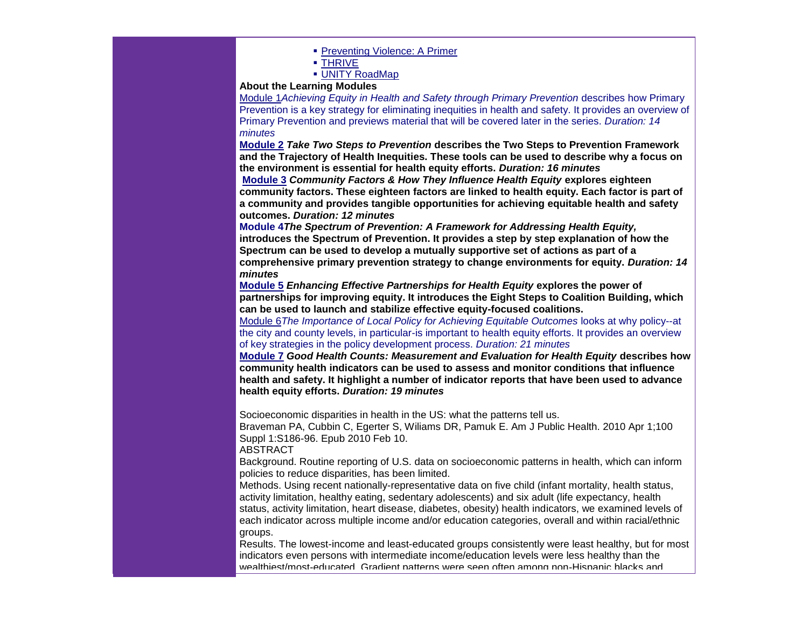- **[Preventing Violence: A Primer](http://r20.rs6.net/tn.jsp?et=1103488072567&s=0&e=001ZbRH4lRBQsHkRXlMbhMtfHu7egiIyKAAJ7ixXSilcuYnfqDHWXv12tCFvQql9ipw4L3PEb8VTwtN8jqi9-Ib_1QUTewzLO_d16oqa5vhD0j9LBdmbGr7Q1oKz_iKkhCZE008y8AvYD_e0gHRAB5tQaWWPv3DHcWmW8t-bKwEvmOLUvD5OuuhdVV0Dmg2YH64)**
- [THRIVE](http://r20.rs6.net/tn.jsp?et=1103488072567&s=0&e=001ZbRH4lRBQsHkRXlMbhMtfHu7egiIyKAAJ7ixXSilcuYnfqDHWXv12tCFvQql9ipw4L3PEb8VTwtN8jqi9-Ib_1QUTewzLO_d16oqa5vhD0j9LBdmbGr7Q1oKz_iKkhCZE008y8AvYD_e0gHRAB5tQU3SYtVV0UJrmpexdMMf0quKUuYLIFVyW0BPy0DbvEQp)
- **[UNITY RoadMap](http://r20.rs6.net/tn.jsp?et=1103488072567&s=0&e=001ZbRH4lRBQsHkRXlMbhMtfHu7egiIyKAAJ7ixXSilcuYnfqDHWXv12tCFvQql9ipw4L3PEb8VTwtN8jqi9-Ib_1QUTewzLO_d16oqa5vhD0j9LBdmbGr7Q1oKz_iKkhCZE008y8AvYD_e0gHRAB5tQWFf-jIXYMoYDYfRWftmF_ejFCenGYvOTNuS61iVtx_1)**

#### **About the Learning Modules**

[Module 1](http://r20.rs6.net/tn.jsp?et=1103488072567&s=0&e=001ZbRH4lRBQsHkRXlMbhMtfHu7egiIyKAAJ7ixXSilcuYnfqDHWXv12tCFvQql9ipw4L3PEb8VTwtN8jqi9-Ib_1QUTewzLO_d16oqa5vhD0huK_aRI5WX2lj5jeKC_oz8lFY2tLgCI32QNhSwmh73M2YkU7CaauU_oxC1gyqySSz5x26jIOryT3XOZxScY5Nd1Vimc9_nuOYyQNrDK5Ikbte4OkvU41CJ)*Achieving Equity in Health and Safety through Primary Prevention* describes how Primary Prevention is a key strategy for eliminating inequities in health and safety. It provides an overview of Primary Prevention and previews material that will be covered later in the series. *Duration: 14 minutes*

**[Module 2](http://r20.rs6.net/tn.jsp?et=1103488072567&s=0&e=001ZbRH4lRBQsHkRXlMbhMtfHu7egiIyKAAJ7ixXSilcuYnfqDHWXv12tCFvQql9ipw4L3PEb8VTwtN8jqi9-Ib_1QUTewzLO_d16oqa5vhD0huK_aRI5WX2lj5jeKC_oz8lFY2tLgCI32QNhSwmh73M2YkU7CaauU_oxC1gyqySSz055JVabWrvqU6L2zxWxizjZ-HVMkmIErZeioU6B5SQXv9se3eSlsV5f2ydXfy41c=)** *Take Two Steps to Prevention* **describes the Two Steps to Prevention Framework and the Trajectory of Health Inequities. These tools can be used to describe why a focus on the environment is essential for health equity efforts.** *Duration: 16 minutes*

**[Module 3](http://r20.rs6.net/tn.jsp?et=1103488072567&s=0&e=001ZbRH4lRBQsHkRXlMbhMtfHu7egiIyKAAJ7ixXSilcuYnfqDHWXv12tCFvQql9ipw4L3PEb8VTwtN8jqi9-Ib_1QUTewzLO_d16oqa5vhD0huK_aRI5WX2lj5jeKC_oz8lFY2tLgCI32QNhSwmh73M2YkU7CaauU_oxC1gyqySSxsv6xjtlg4qWT5c8xpKegNNj-vlDJsZdJw_ok1zbGTpGCkIpC9SPPl)** *Community Factors & How They Influence Health Equity* **explores eighteen community factors. These eighteen factors are linked to health equity. Each factor is part of a community and provides tangible opportunities for achieving equitable health and safety outcomes.** *Duration: 12 minutes*

**[Module 4](http://r20.rs6.net/tn.jsp?et=1103488072567&s=0&e=001ZbRH4lRBQsHkRXlMbhMtfHu7egiIyKAAJ7ixXSilcuYnfqDHWXv12tCFvQql9ipw4L3PEb8VTwtN8jqi9-Ib_1QUTewzLO_d16oqa5vhD0huK_aRI5WX2lj5jeKC_oz8lFY2tLgCI32QNhSwmh73M2YkU7CaauU_oxC1gyqySSxcOEkzf-7L7pIeukSxGFGiUsxSh7z39MmVQkqm8UP98d8A5qpqBDgu)***The Spectrum of Prevention: A Framework for Addressing Health Equity,* **introduces the Spectrum of Prevention. It provides a step by step explanation of how the Spectrum can be used to develop a mutually supportive set of actions as part of a comprehensive primary prevention strategy to change environments for equity.** *Duration: 14 minutes*

**[Module 5](http://r20.rs6.net/tn.jsp?et=1103488072567&s=0&e=001ZbRH4lRBQsHkRXlMbhMtfHu7egiIyKAAJ7ixXSilcuYnfqDHWXv12tCFvQql9ipw4L3PEb8VTwtN8jqi9-Ib_1QUTewzLO_d16oqa5vhD0huK_aRI5WX2lj5jeKC_oz8lFY2tLgCI32QNhSwmh73M2YkU7CaauU_oxC1gyqySSxcOEkzf-7L7pd_WWtN_lD-4pkonaMQ6tKwqJg8J94oHH136TFblSl4YDQpHokJxkQTVukO4vhufw==)** *Enhancing Effective Partnerships for Health Equity* **explores the power of partnerships for improving equity. It introduces the Eight Steps to Coalition Building, which can be used to launch and stabilize effective equity-focused coalitions.**

[Module 6](http://r20.rs6.net/tn.jsp?et=1103488072567&s=0&e=001ZbRH4lRBQsHkRXlMbhMtfHu7egiIyKAAJ7ixXSilcuYnfqDHWXv12tCFvQql9ipw4L3PEb8VTwtN8jqi9-Ib_1QUTewzLO_d16oqa5vhD0huK_aRI5WX2lj5jeKC_oz8lFY2tLgCI32QNhSwmh73M2YkU7CaauU_oxC1gyqySSxfo2wE8-WlN0SfG79SvWAoi7gi7C40YtVZ4FH6-eBRYUkfRF4RxuXL5yzvSmSFVI5WxICfeP8HFr2FEP_msa5vvDkc1UeAnJA=)*The Importance of Local Policy for Achieving Equitable Outcomes* looks at why policy--at the city and county levels, in particular-is important to health equity efforts. It provides an overview of key strategies in the policy development process. *Duration: 21 minutes*

**[Module 7](http://r20.rs6.net/tn.jsp?et=1103488072567&s=0&e=001ZbRH4lRBQsHkRXlMbhMtfHu7egiIyKAAJ7ixXSilcuYnfqDHWXv12tCFvQql9ipw4L3PEb8VTwtN8jqi9-Ib_1QUTewzLO_d16oqa5vhD0huK_aRI5WX2lj5jeKC_oz8lFY2tLgCI32QNhSwmh73M2YkU7CaauU_oxC1gyqySSxcOEkzf-7L7ntHHpbdHJAefXqI28SO1P0moY7XcxsIEPkr3Hej-lQwJJDkclJpU3Ui1Yz3TrlG_mHA1k6MDDTq)** *Good Health Counts: Measurement and Evaluation for Health Equity* **describes how community health indicators can be used to assess and monitor conditions that influence health and safety. It highlight a number of indicator reports that have been used to advance health equity efforts.** *Duration: 19 minutes*

Socioeconomic disparities in health in the US: what the patterns tell us.

Braveman PA, Cubbin C, Egerter S, Wiliams DR, Pamuk E. Am J Public Health. 2010 Apr 1;100 Suppl 1:S186-96. Epub 2010 Feb 10.

#### ABSTRACT

Background. Routine reporting of U.S. data on socioeconomic patterns in health, which can inform policies to reduce disparities, has been limited.

Methods. Using recent nationally-representative data on five child (infant mortality, health status, activity limitation, healthy eating, sedentary adolescents) and six adult (life expectancy, health status, activity limitation, heart disease, diabetes, obesity) health indicators, we examined levels of each indicator across multiple income and/or education categories, overall and within racial/ethnic groups.

Results. The lowest-income and least-educated groups consistently were least healthy, but for most indicators even persons with intermediate income/education levels were less healthy than the wealthiest/most-educated. Gradient patterns were seen often among non-Hispanic blacks and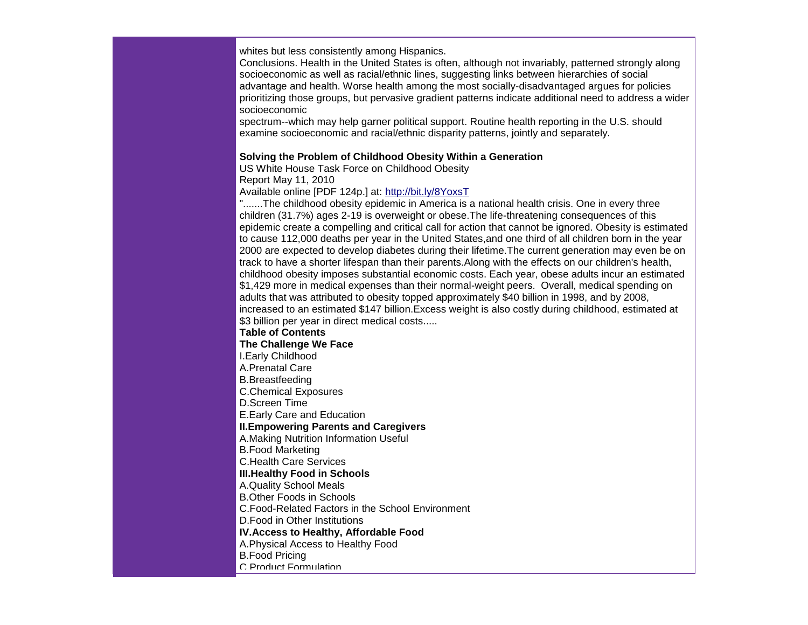whites but less consistently among Hispanics.

Conclusions. Health in the United States is often, although not invariably, patterned strongly along socioeconomic as well as racial/ethnic lines, suggesting links between hierarchies of social advantage and health. Worse health among the most socially-disadvantaged argues for policies prioritizing those groups, but pervasive gradient patterns indicate additional need to address a wider socioeconomic

spectrum--which may help garner political support. Routine health reporting in the U.S. should examine socioeconomic and racial/ethnic disparity patterns, jointly and separately.

#### **Solving the Problem of Childhood Obesity Within a Generation**

US White House Task Force on Childhood Obesity Report May 11, 2010

Available online [PDF 124p.] at: [http://bit.ly/8YoxsT](http://r20.rs6.net/tn.jsp?et=1103488072567&s=0&e=001ZbRH4lRBQsHkRXlMbhMtfHu7egiIyKAAJ7ixXSilcuYnfqDHWXv12tCFvQql9ipwhhfd6jLiqj_8Z9UC9_pu1LacOWoOLhI_d6aK522Bqn8=)

".......The childhood obesity epidemic in America is a national health crisis. One in every three children (31.7%) ages 2-19 is overweight or obese.The life-threatening consequences of this epidemic create a compelling and critical call for action that cannot be ignored. Obesity is estimated to cause 112,000 deaths per year in the United States,and one third of all children born in the year 2000 are expected to develop diabetes during their lifetime.The current generation may even be on track to have a shorter lifespan than their parents.Along with the effects on our children's health, childhood obesity imposes substantial economic costs. Each year, obese adults incur an estimated \$1,429 more in medical expenses than their normal-weight peers. Overall, medical spending on adults that was attributed to obesity topped approximately \$40 billion in 1998, and by 2008, increased to an estimated \$147 billion.Excess weight is also costly during childhood, estimated at \$3 billion per year in direct medical costs.....

**Table of Contents The Challenge We Face**  I.Early Childhood A.Prenatal Care B.Breastfeeding C.Chemical Exposures D.Screen Time E.Early Care and Education **II.Empowering Parents and Caregivers**  A.Making Nutrition Information Useful B.Food Marketing C.Health Care Services **III.Healthy Food in Schools**  A.Quality School Meals B.Other Foods in Schools C.Food-Related Factors in the School Environment D.Food in Other Institutions **IV.Access to Healthy, Affordable Food**  A.Physical Access to Healthy Food B.Food Pricing C.Product Formulation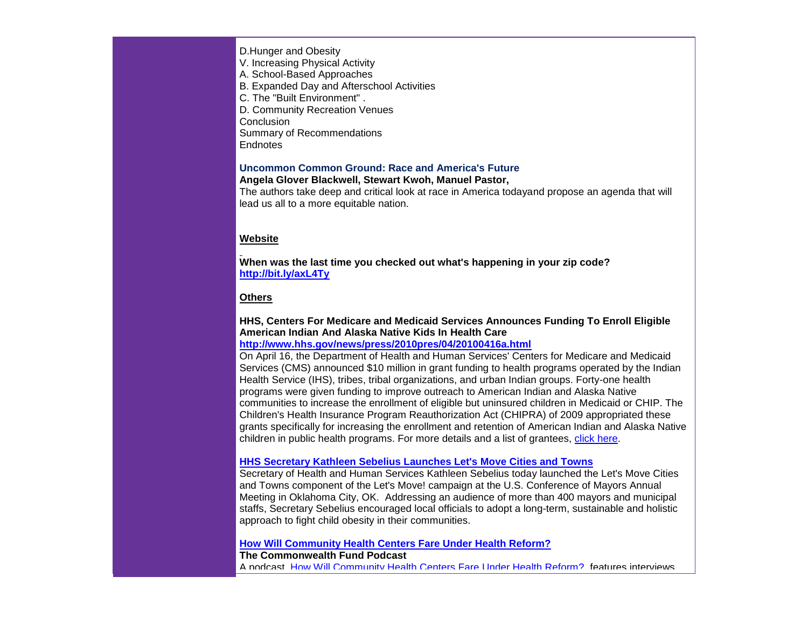#### D.Hunger and Obesity

V. Increasing Physical Activity

A. School-Based Approaches

- B. Expanded Day and Afterschool Activities
- C. The "Built Environment" .
- D. Community Recreation Venues
- **Conclusion**

Summary of Recommendations

**Endnotes** 

# **[Uncommon Common Ground: Race and America's Future](http://r20.rs6.net/tn.jsp?et=1103488072567&s=0&e=001ZbRH4lRBQsHkRXlMbhMtfHu7egiIyKAAJ7ixXSilcuYnfqDHWXv12tCFvQql9ipw4L3PEb8VTwsb-aWEQOiEiHt3rcYIJUww14RExfw8ENBJX0GnNOO7h6Cg6mjhj1p8aBn1y4VgnXlsvSo6rFtXOpQ4CzHO-ytUq9fm-LL2QsoswGzSEPnK50CeebykBtg-LLOIwownIudFL7OZj8DM9ZUwzloEqfIf)**

**Angela Glover Blackwell, Stewart Kwoh, Manuel Pastor,**

The authors take deep and critical look at race in America todayand propose an agenda that will lead us all to a more equitable nation.

## **Website**

**When was the last time you checked out what's happening in your zip code? [http://bit.ly/axL4Ty](http://r20.rs6.net/tn.jsp?et=1103488072567&s=0&e=001ZbRH4lRBQsHkRXlMbhMtfHu7egiIyKAAJ7ixXSilcuYnfqDHWXv12tCFvQql9ipwhhfd6jLiqj_sWNz4de12_ZazmXLo2PfaHhb1f6eNWlo=)**

## **Others**

#### **HHS, Centers For Medicare and Medicaid Services Announces Funding To Enroll Eligible American Indian And Alaska Native Kids In Health Care [http://www.hhs.gov/news/press/2010pres/04/20100416a.html](http://r20.rs6.net/tn.jsp?et=1103488072567&s=0&e=001ZbRH4lRBQsHkRXlMbhMtfHu7egiIyKAAJ7ixXSilcuYnfqDHWXv12tCFvQql9ipw4L3PEb8VTwtexTuZCBQzFHnvV4r7CotS0_keBVjz1BWymK98ZgHAANcCDsPq0gd2PPafDwpCDLAZpFMwlVV38ikAxejnJymQb0ke-uvt_RM=)**

On April 16, the Department of Health and Human Services' Centers for Medicare and Medicaid Services (CMS) announced \$10 million in grant funding to health programs operated by the Indian Health Service (IHS), tribes, tribal organizations, and urban Indian groups. Forty-one health programs were given funding to improve outreach to American Indian and Alaska Native communities to increase the enrollment of eligible but uninsured children in Medicaid or CHIP. The Children's Health Insurance Program Reauthorization Act (CHIPRA) of 2009 appropriated these grants specifically for increasing the enrollment and retention of American Indian and Alaska Native children in public health programs. For more details and a list of grantees, [click here.](http://r20.rs6.net/tn.jsp?et=1103488072567&s=0&e=001ZbRH4lRBQsHkRXlMbhMtfHu7egiIyKAAJ7ixXSilcuYnfqDHWXv12tCFvQql9ipw4L3PEb8VTwtexTuZCBQzFHnvV4r7CotS0_keBVjz1BWymK98ZgHAANcCDsPq0gd2PPafDwpCDLAZpFMwlVV38ikAxejnJymQb0ke-uvt_RM=)

#### **[HHS Secretary Kathleen Sebelius Launches Let's Move Cities and Towns](http://r20.rs6.net/tn.jsp?et=1103488072567&s=0&e=001ZbRH4lRBQsHkRXlMbhMtfHu7egiIyKAAJ7ixXSilcuYnfqDHWXv12tCFvQql9ipw2CLgM7SsGa6xck15nEIQE8_mohxixVA3Qz3b_khgIR1mF7WbrgRpJxZujq0OoE8yaAYcYiITJFeR6qD4mhNQjIITu1zST1M3Nk-d2Sw5x9ZxyBAEY5O7ln_8nT1o_6Gxdo3zccS5eKfyTkYl4eLYxr9FhWfi1s9h12F8C2L4CiXbu6jTyEHyP5csKzn-0XkJ85OsUfKfLIwUipvl4LfouQOBYO4lK5wyvP4MjkegekM8B9Z4Pnpya1mB6wWQ2t129e5j9uZTZpXkIyQ5-FAollz_zNMsrjwbHPHWzmynyoz9JJIyEQBexN_1X47w_k_aCwR_XmH_aksWm_ZCROumwxrZad9qy0JCxWflDKK6NhnNTMRz2idpxO86xGi2DL2ZocSs7L0hXQ1atiRCWwFy6gdTL-MSGlajRbvafpGvJqVgxYaRlE9tQdRfPyAWHjFbfZgd4Vlm_0xJfA7RgUjlBMtyJ_2JoVm2)**

Secretary of Health and Human Services Kathleen Sebelius today launched the Let's Move Cities and Towns component of the Let's Move! campaign at the U.S. Conference of Mayors Annual Meeting in Oklahoma City, OK. Addressing an audience of more than 400 mayors and municipal staffs, Secretary Sebelius encouraged local officials to adopt a long-term, sustainable and holistic approach to fight child obesity in their communities.

#### **[How Will Community Health Centers Fare Under Health Reform?](http://r20.rs6.net/tn.jsp?et=1103488072567&s=0&e=001ZbRH4lRBQsHkRXlMbhMtfHu7egiIyKAAJ7ixXSilcuYnfqDHWXv12tCFvQql9ipwjRNQvGiqZkHIt51R53iabeySS1re8tMqPwXtOvnNuLYRBqk_mpZ1LsqcFZRoeAkB8XvK3oyAYmdTO3KRK0sHg836_8tO6sNK_ePUKpT2MQeIY0oum-6EYw==)**

**The Commonwealth Fund Podcast** A podcast, [How Will Community Health Centers Fare Under Health Reform?,](http://r20.rs6.net/tn.jsp?et=1103488072567&s=0&e=001ZbRH4lRBQsHkRXlMbhMtfHu7egiIyKAAJ7ixXSilcuYnfqDHWXv12tCFvQql9ipwjRNQvGiqZkHIt51R53iabeySS1re8tMqPwXtOvnNuLYRBqk_mpZ1LsqcFZRoeAkB8XvK3oyAYmdTO3KRK0sHg836_8tO6sNK_ePUKpT2MQeIY0oum-6EYw==) features interviews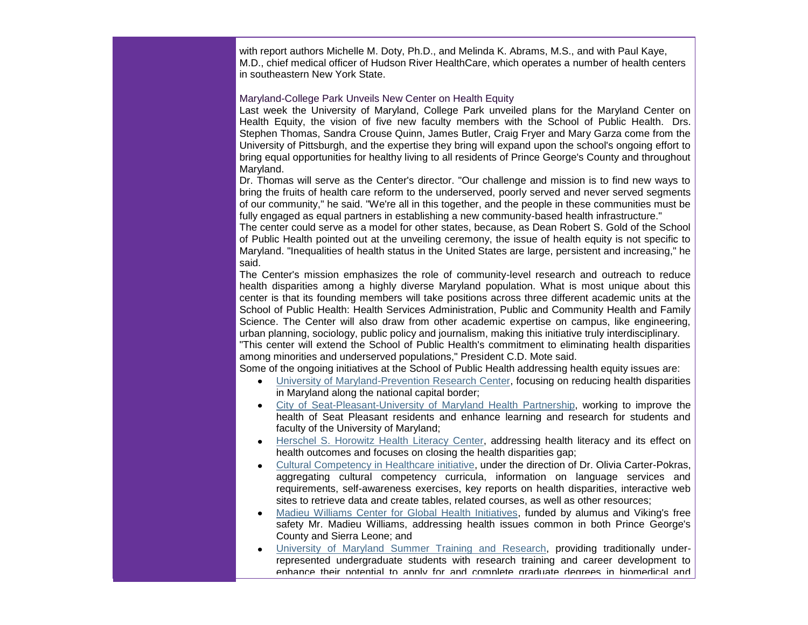with report authors Michelle M. Doty, Ph.D., and Melinda K. Abrams, M.S., and with Paul Kaye, M.D., chief medical officer of Hudson River HealthCare, which operates a number of health centers in southeastern New York State.

#### Maryland-College Park Unveils New Center on Health Equity

Last week the University of Maryland, College Park unveiled plans for the Maryland Center on Health Equity, the vision of five new faculty members with the School of Public Health. Drs. Stephen Thomas, Sandra Crouse Quinn, James Butler, Craig Fryer and Mary Garza come from the University of Pittsburgh, and the expertise they bring will expand upon the school's ongoing effort to bring equal opportunities for healthy living to all residents of Prince George's County and throughout Maryland.

Dr. Thomas will serve as the Center's director. "Our challenge and mission is to find new ways to bring the fruits of health care reform to the underserved, poorly served and never served segments of our community," he said. "We're all in this together, and the people in these communities must be fully engaged as equal partners in establishing a new community-based health infrastructure."

The center could serve as a model for other states, because, as Dean Robert S. Gold of the School of Public Health pointed out at the unveiling ceremony, the issue of health equity is not specific to Maryland. "Inequalities of health status in the United States are large, persistent and increasing," he said.

The Center's mission emphasizes the role of community-level research and outreach to reduce health disparities among a highly diverse Maryland population. What is most unique about this center is that its founding members will take positions across three different academic units at the School of Public Health: Health Services Administration, Public and Community Health and Family Science. The Center will also draw from other academic expertise on campus, like engineering, urban planning, sociology, public policy and journalism, making this initiative truly interdisciplinary. "This center will extend the School of Public Health's commitment to eliminating health disparities among minorities and underserved populations," President C.D. Mote said.

Some of the ongoing initiatives at the School of Public Health addressing health equity issues are:

- $\bullet$ [University of Maryland-Prevention Research Center,](http://r20.rs6.net/tn.jsp?et=1103488072567&s=0&e=001ZbRH4lRBQsHkRXlMbhMtfHu7egiIyKAAJ7ixXSilcuYnfqDHWXv12tCFvQql9ipwBXy7VFKARAX1-_ELJ41unpDj4UH3Xhyq2cmQH4FrOdMdHHin_SkbJyaMds9Ej_ANF3lMDJOPkcM=) focusing on reducing health disparities in Maryland along the national capital border;
- [City of Seat-Pleasant-University of Maryland Health Partnership,](http://r20.rs6.net/tn.jsp?et=1103488072567&s=0&e=001ZbRH4lRBQsHkRXlMbhMtfHu7egiIyKAAJ7ixXSilcuYnfqDHWXv12tCFvQql9ipw4L3PEb8VTwsJuurIxv4nMciOOWfcXxaZbihPKBtGY0Rwsa7fRJDBG3SWxApTeMsoPRU5SROVTN7DNRASjpn96g==) working to improve the health of Seat Pleasant residents and enhance learning and research for students and faculty of the University of Maryland;
- [Herschel S. Horowitz Health Literacy Center,](http://r20.rs6.net/tn.jsp?et=1103488072567&s=0&e=001ZbRH4lRBQsHkRXlMbhMtfHu7egiIyKAAJ7ixXSilcuYnfqDHWXv12tCFvQql9ipwBXy7VFKARAX1-_ELJ41unsfprrIOMX7UtqDXdg6wGEuUZk6iLP1Q_im5XujYbRMS) addressing health literacy and its effect on health outcomes and focuses on closing the health disparities gap;
- [Cultural Competency in Healthcare initiative,](http://r20.rs6.net/tn.jsp?et=1103488072567&s=0&e=001ZbRH4lRBQsHkRXlMbhMtfHu7egiIyKAAJ7ixXSilcuYnfqDHWXv12tCFvQql9ipwBXy7VFKARAX1-_ELJ41unhyn7WurSRfYrrGrXr1uM0pGciMdtgXRMUutB2QgS_dlGI_q7rWbv3tXssgWomD1JA==) under the direction of Dr. Olivia Carter-Pokras, aggregating cultural competency curricula, information on language services and requirements, self-awareness exercises, key reports on health disparities, interactive web sites to retrieve data and create tables, related courses, as well as other resources;
- [Madieu Williams Center for Global Health Initiatives,](http://r20.rs6.net/tn.jsp?et=1103488072567&s=0&e=001ZbRH4lRBQsHkRXlMbhMtfHu7egiIyKAAJ7ixXSilcuYnfqDHWXv12tCFvQql9ipwBXy7VFKARAX1-_ELJ41unqucRSUxTTl58pnfWYsjOz8jVnKfRTuRXten0f9ISDtcjr83bpzELoTbdDOVQ-D5z80fcPndoNQlonGBgVVdUQ22GZZ3OyPrSvkmlxPo-tcpT-fOBiuzMCQrVCMraLswZi38VJTq66gEOOsd67HnPpZMEbtTmXahKuk4_2z3fKzg0uwlJmEIut31OZJPs66csx-ncIxBJPT9) funded by alumus and Viking's free safety Mr. Madieu Williams, addressing health issues common in both Prince George's County and Sierra Leone; and
- [University of Maryland Summer Training and Research,](http://r20.rs6.net/tn.jsp?et=1103488072567&s=0&e=001ZbRH4lRBQsHkRXlMbhMtfHu7egiIyKAAJ7ixXSilcuYnfqDHWXv12tCFvQql9ipwBXy7VFKARAX1-_ELJ41ungJXPoZorxSgaBFr9DDFdjHcUiauMD5h-TyESju5Ivg1) providing traditionally underrepresented undergraduate students with research training and career development to enhance their potential to apply for and complete graduate degrees in biomedical and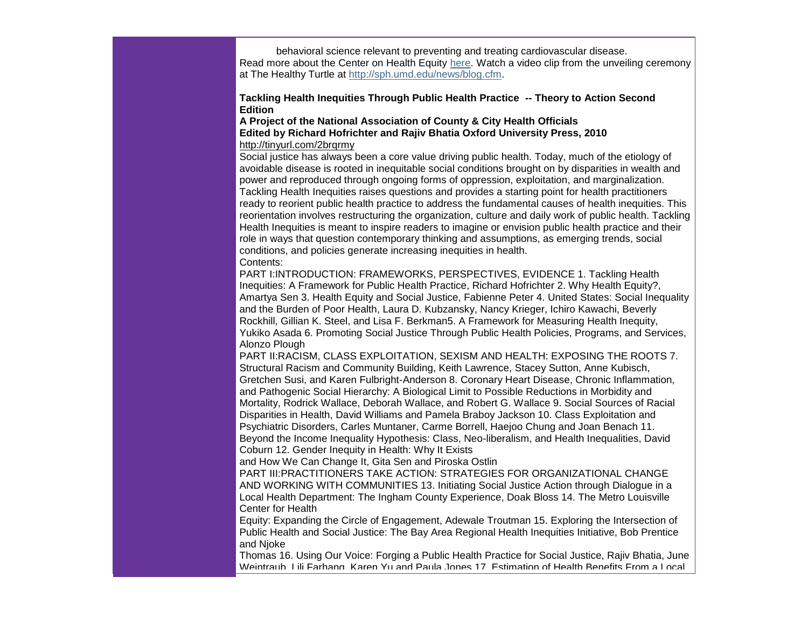behavioral science relevant to preventing and treating cardiovascular disease. Read more about the Center on Health Equity [here.](http://r20.rs6.net/tn.jsp?et=1103488072567&s=0&e=001ZbRH4lRBQsHkRXlMbhMtfHu7egiIyKAAJ7ixXSilcuYnfqDHWXv12tCFvQql9ipw4L3PEb8VTwv5XMPUnVocKmYy2G-CWUptEh3wZdVRF06LUP6jWM_ImmqYYdIM3T_Le3N87ueafprrcFtb1_Lmjz7e5mdZyFMVvGx2ax7Nr8E=) Watch a video clip from the unveiling ceremony at The Healthy Turtle at [http://sph.umd.edu/news/blog.cfm.](http://r20.rs6.net/tn.jsp?et=1103488072567&s=0&e=001ZbRH4lRBQsHkRXlMbhMtfHu7egiIyKAAJ7ixXSilcuYnfqDHWXv12tCFvQql9ipwBXy7VFKARAX1-_ELJ41unqucRSUxTTl58pnfWYsjOz_hOeRGM88-puK4a7u26F3X)

#### **Tackling Health Inequities Through Public Health Practice -- Theory to Action Second Edition**

#### **A Project of the National Association of County & City Health Officials Edited by Richard Hofrichter and Rajiv Bhatia Oxford University Press, 2010** [http://tinyurl.com/2brqrmy](http://r20.rs6.net/tn.jsp?et=1103488072567&s=0&e=001ZbRH4lRBQsHkRXlMbhMtfHu7egiIyKAAJ7ixXSilcuYnfqDHWXv12tCFvQql9ipw56eGMx99xpzrhcJgI6FZRgRa4QYA6dY82l5faH0fY2GBh2YogahPlg==)

Social justice has always been a core value driving public health. Today, much of the etiology of avoidable disease is rooted in inequitable social conditions brought on by disparities in wealth and power and reproduced through ongoing forms of oppression, exploitation, and marginalization. Tackling Health Inequities raises questions and provides a starting point for health practitioners ready to reorient public health practice to address the fundamental causes of health inequities. This reorientation involves restructuring the organization, culture and daily work of public health. Tackling Health Inequities is meant to inspire readers to imagine or envision public health practice and their role in ways that question contemporary thinking and assumptions, as emerging trends, social conditions, and policies generate increasing inequities in health. Contents:

PART I:INTRODUCTION: FRAMEWORKS, PERSPECTIVES, EVIDENCE 1. Tackling Health Inequities: A Framework for Public Health Practice, Richard Hofrichter 2. Why Health Equity?, Amartya Sen 3. Health Equity and Social Justice, Fabienne Peter 4. United States: Social Inequality and the Burden of Poor Health, Laura D. Kubzansky, Nancy Krieger, Ichiro Kawachi, Beverly Rockhill, Gillian K. Steel, and Lisa F. Berkman5. A Framework for Measuring Health Inequity, Yukiko Asada 6. Promoting Social Justice Through Public Health Policies, Programs, and Services, Alonzo Plough

PART II:RACISM, CLASS EXPLOITATION, SEXISM AND HEALTH: EXPOSING THE ROOTS 7. Structural Racism and Community Building, Keith Lawrence, Stacey Sutton, Anne Kubisch, Gretchen Susi, and Karen Fulbright-Anderson 8. Coronary Heart Disease, Chronic Inflammation, and Pathogenic Social Hierarchy: A Biological Limit to Possible Reductions in Morbidity and Mortality, Rodrick Wallace, Deborah Wallace, and Robert G. Wallace 9. Social Sources of Racial Disparities in Health, David Williams and Pamela Braboy Jackson 10. Class Exploitation and Psychiatric Disorders, Carles Muntaner, Carme Borrell, Haejoo Chung and Joan Benach 11. Beyond the Income Inequality Hypothesis: Class, Neo-liberalism, and Health Inequalities, David Coburn 12. Gender Inequity in Health: Why It Exists

and How We Can Change It, Gita Sen and Piroska Ostlin

PART III:PRACTITIONERS TAKE ACTION: STRATEGIES FOR ORGANIZATIONAL CHANGE AND WORKING WITH COMMUNITIES 13. Initiating Social Justice Action through Dialogue in a Local Health Department: The Ingham County Experience, Doak Bloss 14. The Metro Louisville Center for Health

Equity: Expanding the Circle of Engagement, Adewale Troutman 15. Exploring the Intersection of Public Health and Social Justice: The Bay Area Regional Health Inequities Initiative, Bob Prentice and Njoke

Thomas 16. Using Our Voice: Forging a Public Health Practice for Social Justice, Rajiv Bhatia, June Weintraub, Lili Farhang, Karen Yu and Paula Jones 17. Estimation of Health Benefits From a Local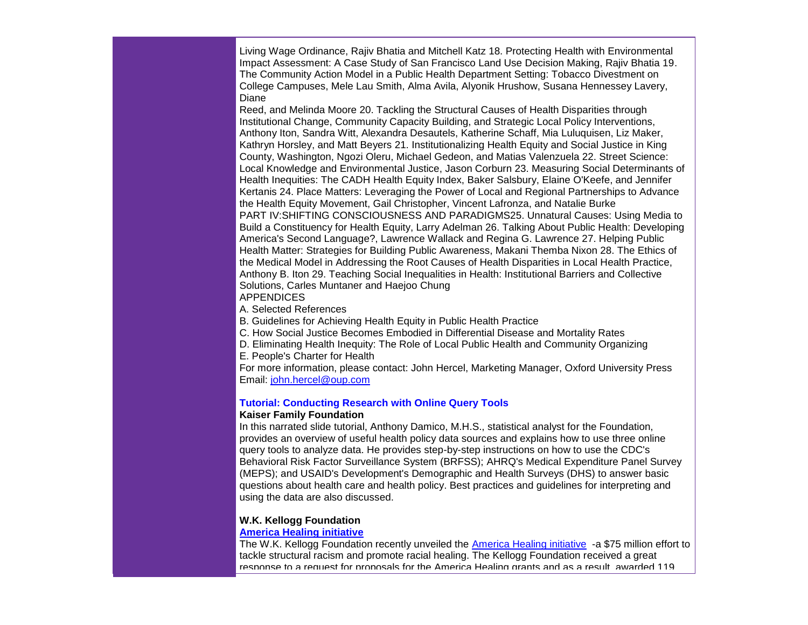Living Wage Ordinance, Rajiv Bhatia and Mitchell Katz 18. Protecting Health with Environmental Impact Assessment: A Case Study of San Francisco Land Use Decision Making, Rajiv Bhatia 19. The Community Action Model in a Public Health Department Setting: Tobacco Divestment on College Campuses, Mele Lau Smith, Alma Avila, Alyonik Hrushow, Susana Hennessey Lavery, Diane

Reed, and Melinda Moore 20. Tackling the Structural Causes of Health Disparities through Institutional Change, Community Capacity Building, and Strategic Local Policy Interventions, Anthony Iton, Sandra Witt, Alexandra Desautels, Katherine Schaff, Mia Luluquisen, Liz Maker, Kathryn Horsley, and Matt Beyers 21. Institutionalizing Health Equity and Social Justice in King County, Washington, Ngozi Oleru, Michael Gedeon, and Matias Valenzuela 22. Street Science: Local Knowledge and Environmental Justice, Jason Corburn 23. Measuring Social Determinants of Health Inequities: The CADH Health Equity Index, Baker Salsbury, Elaine O'Keefe, and Jennifer Kertanis 24. Place Matters: Leveraging the Power of Local and Regional Partnerships to Advance the Health Equity Movement, Gail Christopher, Vincent Lafronza, and Natalie Burke PART IV:SHIFTING CONSCIOUSNESS AND PARADIGMS25. Unnatural Causes: Using Media to Build a Constituency for Health Equity, Larry Adelman 26. Talking About Public Health: Developing America's Second Language?, Lawrence Wallack and Regina G. Lawrence 27. Helping Public Health Matter: Strategies for Building Public Awareness, Makani Themba Nixon 28. The Ethics of the Medical Model in Addressing the Root Causes of Health Disparities in Local Health Practice, Anthony B. Iton 29. Teaching Social Inequalities in Health: Institutional Barriers and Collective Solutions, Carles Muntaner and Haejoo Chung APPENDICES

A. Selected References

B. Guidelines for Achieving Health Equity in Public Health Practice

C. How Social Justice Becomes Embodied in Differential Disease and Mortality Rates

D. Eliminating Health Inequity: The Role of Local Public Health and Community Organizing

E. People's Charter for Health

For more information, please contact: John Hercel, Marketing Manager, Oxford University Press Email: [john.hercel@oup.com](mailto:john.hercel@oup.com)

# **[Tutorial: Conducting Research with Online Query Tools](http://r20.rs6.net/tn.jsp?et=1103488072567&s=0&e=001ZbRH4lRBQsHkRXlMbhMtfHu7egiIyKAAJ7ixXSilcuYnfqDHWXv12tCFvQql9ipw-YC9UKg-bWenLZX93GQ5i53tsT2RuGsMxK1S3TzokRMQ1EDAQz_L1tgzuriCLcnZfDplbLOtAPFRLmjwZm8yREiDIGmaQiru)**

#### **Kaiser Family Foundation**

In this narrated slide tutorial, Anthony Damico, M.H.S., statistical analyst for the Foundation, provides an overview of useful health policy data sources and explains how to use three online query tools to analyze data. He provides step-by-step instructions on how to use the CDC's Behavioral Risk Factor Surveillance System (BRFSS); AHRQ's Medical Expenditure Panel Survey (MEPS); and USAID's Development's Demographic and Health Surveys (DHS) to answer basic questions about health care and health policy. Best practices and guidelines for interpreting and using the data are also discussed.

## **W.K. Kellogg Foundation**

#### **[America Healing initiative](http://r20.rs6.net/tn.jsp?et=1103488072567&s=0&e=001ZbRH4lRBQsHkRXlMbhMtfHu7egiIyKAAJ7ixXSilcuYnfqDHWXv12tCFvQql9ipw4L3PEb8VTwuUKT6EKcXJ-mCqPMDjGgYhw0Hl8m4aMDM4gytGuiEpkH3hCq4OU3smP14s0rVKKLrnam1yE68G4FGmk2f-s1MKTIGg4mmMo2u9pcy5mDEf8Q==)**

The W.K. Kellogg Foundation recently unveiled the [America Healing initiative](http://r20.rs6.net/tn.jsp?et=1103488072567&s=0&e=001ZbRH4lRBQsHkRXlMbhMtfHu7egiIyKAAJ7ixXSilcuYnfqDHWXv12tCFvQql9ipw4L3PEb8VTwuUKT6EKcXJ-mCqPMDjGgYhw0Hl8m4aMDM4gytGuiEpkH3hCq4OU3smP14s0rVKKLrnam1yE68G4FGmk2f-s1MKTIGg4mmMo2u9pcy5mDEf8Q==) -a \$75 million effort to tackle structural racism and promote racial healing. The Kellogg Foundation received a great response to a request for proposals for the America Healing grants and as a result, awarded 119